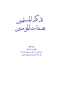il 2 Identure بصفات المؤمنين

جمع وتحقيق الفقير إلى الله تعالى عبد الله بن جار الله بن إبراهيم الجار الله غفر الله له ولوالديه ولجميع المسلمين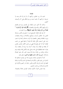## مقدمة

الحمد لله رب العالمين، وأشهد أن لا إله إلا الله وحده لا شريك له وأشهد أن محمدا عبده ورسوله ﷺ وعلى آله وأصحابه أجمعين.

والحمد لله الذي حبب الإيمان إلى المؤمنين وزينه في قلوبهم وكره إليهم الكفر والفسوق والعصيان: ﴿أَولَٰئِكَ هُمُ الرَّاشِدُونَ \* فَضْلاً منَ الله وَنعْمَةً وَاللهُ عَليمٌ حَكيمٌ﴾ سورة الحجرات.

أما بعد فإن الإيمان الصحيح هو ما حصل في القلب وصدقه العمل وله حقائق وأسباب ودوافع ومكملات وزيادة ونقصان، ويزيد بالطاعة وينقص بالمعصية وله ثمرات عاجلة وآجلة وله شعب تزيد على السبعين فكل طاعة لله قولية أو فعلية فهي من شعب الإيمان كما أن كل معصية لله فهي من شعب الكفر، فجدير بالمؤمن أن يتفقه في الإيمان وأن يعرف أسبابه وما يزيده أو ينقصه، وأن يعرف شعبه فيطبقها على نفسه وعلى غيره ليكمل إيمانه ويقينه ويتم إسلامه وذلك من علامة إرادة الله بعبده الخير، قال عليه الصلاة والسلام: «من يود الله به خيرًا يفقهه في الدين» متفق عليه.

كما أن للمؤمنين صفات يتميزون بما عن غيرهم استحقوا بما البشارة من رهم بالفوز والكرامة والسعادة في الدنيا والآحرة والحياة الطيبة في الدنيا والرزق الكريم والفوز بالجنة دار النعيم والكرامة في الأخرة والسلامة من عذاب الجحيم.

وقد تضمن القرآن الكريم صفات المؤمنين إجمالا وتفصيلا،

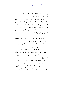وقد ضمنتها كتابي (الكواكب النيرات في المنجيات والمهلكات) مع تفسيرها وذكر ما يستفاد منها.

وقد أشار على بعض المحبين الناصحين بأن أفردها برسالة لتكون خفيفة المحمل قريبة التناول فأجبته إلى ذلك سائلا الله تعالى أن ينفع بما من كتبها أو قرأها أو سمعها أو طبعها وأن يجعلها خالصة لوجهه الكريم ومن أسباب الفوز لديه بجنات النعيم. وسميتها «تذكير المسلمين بأوصاف المؤمنين» وهنا أجدين ملزما بتعريف الإسلام والإيمان وهل هما شيء واحد أو شيئان مختلفان وما الفرق بينهما؟!

والجواب على ذلك: أن الإسلام هو الاستسلام لله بالتوحيد والانقياد له بالطاعة والبراءة من الشرك وأهله.

والإيمان في اللغة هو التصديق وفي الشرع قول باللسان واعتقاد بالقلب وعمل بالجوارح يزيد بالطاعة وينقص بالمعصية.

وإذا ذكر الإسلام وحده دحل فيه الإيمان وصار اسما للقول والاعتقاد والعمل وإذا ذكر الإيمان وحده دحل فيه الإسلام كذلك وإذا ذكر جميعًا كما في حديث جبريل حينما سأل النبي عن الإسلام والإيمان.

ففسر الإسلام بأركانه الخمسة التي هي من عمل الجوارح، وفسر الإيمان بأصوله الستة التي هي اعتقاد القلب.

والإسلام أوسع دائرة من الإيمان فكل مؤمن مسلمًا وليس كل مسلم مؤمنا، بدليل قول الله عز وحل: ﴿قَالَتِ الأَعْوَابُ آمَنَّا

٤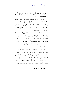قُلْ لَمْ تُؤْمِنُوا وَلَكنْ قُولُوا أَسْلَمْنَا وَلَمَّا يَدْخُلِ الإِيمَانُ في قُلُوبِكُمْ﴾ [الحجرات: ١٤].

وللمزيد من التفقه في الإيمان وأسبابه وشعبه وزيادته ونقصانه ومقوياته وفوائده وثمراته أحيل القارئ الكريم إلى رسالة «التوضيح والبيان لشجرة الإيمان»، للشيخ عبد الرحمن بن ناصر السعدي ومعها «مختصر شعب الإيمان» للبيهقي رحم الله الجميع وغفر لنا ولهم ولوالدينا ولجميع المسلمين.

وهذه الرسالة مستفادة من كلام الله تعالى وكلام رسوله ﷺ وكلام المحققين من أهل العلم ولا يفوتني أن أنبه إلى أن من كرامة المؤمن على ربه أن حملة العرش من الملائكة يستغفرون للمؤمنين التائبين المتبعين للحق ويسألون الله أن يدحلهم الجنة ومن صلح من آبائهم وأزواجهم وذرياتهم وأن يقيهم السيئات وأن ذلك من علامة  $\cdot^{(1)}$  , جمة الله بمم

كما أن المؤمن الصالح القائم بحقوق الله وحقوق عباده يسلم عليه ملايين المسلمين في كل صلاة، ويشرع له السلام عليهم في التشهد «السلام علينا وعلى عباد الله الصالحين»، نسأل الله تعالى أن يجعلنا منهم فهنيئا للمؤمن الصادق في إيمانه بالفضل العظيم والثواب الجسيم، وذلك فضل الله يؤتيه من يشاء والله ذو الفضل العظيم وصلى الله وسلم على نبينا محمد وعلى آله وصحبه أجمعين.

(1) انظر الآبات من سورة غافر ٩-٩.

$$
\begin{array}{|c|c|c|c|c|}\hline \rule{0pt}{16pt} \quad \bullet & \\\hline \rule{0pt}{16pt} \quad \bullet & \\\hline \rule{0pt}{16pt} \end{array}
$$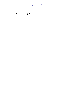$\overline{\mathsf{L}}$ 

المؤلف في ١٤١٠/١١/١٥.

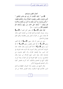أعمال المتقين وجزاؤهم ﴿الِسِمِ \* ذَلِكَ الْكِتَابُ لا رَيْبَ فِيه هُدًى لِلْمُتَّقِينَ \* الَّذينَ يُؤْمِنُو نَ بِالْغَيْبِ وَيُقِيمُونَ الصَّلاةَ وَممَّا رَزَقْنَاهُمْ يُنْفقُونَ \* وَالَّذينَ يُؤْمْنُونَ بِمَا أُنْزِلَ إِلَيْكَ وَمَا أُنْزِلَ منْ قَبْلكَ وَبِالآخِرَةِ هُمْ يُوقُّنُونَ \* أُولَئكَ عَلَى هُدًى منْ رَبِّهِمْ وَأُولَئكَ هُمُ الْمُفْلِحُونَ ﴾ [سورة البقرة ١-٥].

قوله تعالى: ﴿السِّمِ﴾ قال بعض أهل العلم أن ﴿السَّمِ﴾ وسائر حروف الهجاء في أوائل القرآن من المتشابه الذي استأثر الله بعلمه، وهي سر القرآن، فنحن نؤمن بظاهرها ونكل العلم فيها إلى الله تعالى.

وعن ابن عباس أنه قال: معنى: ﴿**الــو﴾** أنا الله أعلم، ومعنى ﴿الصرِ﴾ أنا الله أعلم وأفصل، ومعنى ﴿السِّرِ﴾ أنا الله أرى، ومعنى ﴿السَّعِ ﴾ أنا الله أعلم وأرى، وقال مجاهد: هذه الحروف أسماء للسور وقال آحرون، إنما ذكرت هذه الحروف في أول السور بيانا لإعجاز القرآن، وأن الخلق عاجزون عن معارضته بمثله، وإليه ذهب شيخ الإسلام ابن تيمية وقال الزمخشري: ولم ترد كلها مجموعة في أول القرآن، وإنما كررت ليكون أبلغ في التحدي والتبكيت كما كررت قصص كثيرة وكرر التحدي الصريح في أماكن.

وقال الشيخ ابن سعدي: وأما الحروف المقطعة في أوائل السور فالأسلم فيها السكوت وعدم التعرض لمعناها من غير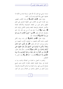مستند شرعی مع الجزم بأن الله تعالی لم ينزلها عبثا بل لحکمة لا نعلمها، انتهى والله أعلم بمراده وأسرار كتابه.

وقوله تعالى: ﴿ذَلِكَ الْكَتَابُ﴾ أي هذا الكتاب العظيم، وهو القرآن الذي هو الكتاب على الحقيقة المشتمل على العلم العظيم والحق المبين من العقائد الصحيحة والأحكام العادلة والأحبار الصادقة والمواعظ النافعة والهدى الكامل والبيان التام ﴿ لا رَيْبَ فيه﴾ أي لا شك فيه أنه من عند الله، وأنه الحق والصدق كما قال تعالى: ﴿السم \* تَنْزِيلُ الْكَتَابِ لا رَيْبَ فِيهِ منْ رَبِّ الْعَالَمينَ﴾ [السجدة: ١].

وقوله تعالى: ﴿هُدًى لِلْمُتَّقِينَ﴾ أي رشد وبيان لأهل التقوى حاصة لألهم المنتفعون به الممتثلون لأوامره المنتهون عن نواهيه وزواجره كما قال تعالى: ﴿قُلْ هُوَ لِلَّذِينَ آمَنُوا هُلَّى وَشفَاءٌ وَالَّذينَ لا يُؤْمِنُونَ في آذَانهمْ وَقْرٌ وَهُوَ عَلَيْهِمْ عَمًى أُولَئِكَ يُنَادَوْنَ منْ مَكَانٍ بَعِيدٍ﴾ [فصلت: ٤٤] وقال تعالى: ﴿وَنُنَزِّلُ منَ الْقُرْآنِ مَا هُوَ شفَّاءٌ وَرَحْمَةٌ للْمُؤْمنينَ وَلا يَزِيدُ الظَّالمينَ إلا خَسَارًا﴾ [الإسراء: ٨٢] ﴿ومِنْ﴾ لبيان الجنس لا للتبعيض.

والهدى ما تحصل به الهداية من الضلالة والشبه، وما به الهداية إلى سلوك الطرق النافعة، فالقرآن الكريم هدى لجميع مصالح الدارين، فهو مرشد للعباد في المسائل الأصولية والفرعية، ومبين للحق من الباطل، والهدى من الضلال ومبين لهم كيف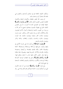يسلكون الطرق النافعة لهم في دنياهم وأحراهم، والتقوى هي طاعة الله بامتثال أمره واحتناب نميه.

ثم وصف الله المتقين بالعقائد والأعمال الباطنة والأعمال الظاهرة لتضمن التقوى لذلك، فقال: ﴿الَّذِينَ يُؤْمِنُونَ بِالْغَيْبِ﴾ حقيقة الإيمان هو التصديق التام بما أحبرت به الرسل المتضمن لانقياد الجوارح، فهؤلاء المؤمنون يصدقون بجميع ما أخبر الله به ورسوله من الغيوب الماضية والمستقبلة وأحوال الآحرة فيؤمنون بالله وملائكته وكتبه ورسله واليوم الآخر وبالقدر حيره وشره، ويؤمنون بعذاب القبر ونعيمه ويؤمنون بالبعث بعد الموت، ويؤمنون بالجزاء والحساب والثواب والعقاب والجنة والنار ويؤمنون بالوعد والوعيد.

﴿ وَيُقِيمُونَ الصَّلاقَ﴾ أي يأتون ها على الوجه الأكمل في وقتها ويأتون بشروطها وأركافا وواجباقما ومستحباقما كاملة ويقيموها ظاهرا بإقمام قيامها وقعودها وركوعها وسجودها والإتيان بالقراءة والأذكار المشروعة فيها، ويقيموها باطنا بإقامة روحها وهو حضور القلب فيها وتدبر ما يقول ويفعل فيها: ﴿وَمِمَّا رَزَقْنَاهُمْ يُنْفَقُونَ﴾ يدحل فيه النفقات الواجبة كالزكاة ونفقة الزوجات والأقارب والمماليك ونحوهم والنفقات المستحبة في جميع طرق الخير.

وفي قوله: ﴿وَمِمَّا رَزَقْنَاهُمْ﴾ إشارة إلى أن هذه الأموال التي بين أيديكم ليست حاصلة بقوتكم وقدرتكم وإنما هي رزق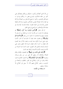من الله الذي أعطاكم وأنعم به عليكم ورزقكم وفضلكم على كثير من حلقه فاشكروه بإحراج بعض ما رزقكم وواسوا به إخوانكم المحتاجين، وكثيرا ما يجمع الله تعالى بين الصلاة والزكاة في القرآن لأن الصلاة تتضمن الإخلاص للمعبود والزكاة والنفقة تتضمن الإحسان إلى العباد فعنوان سعادة الإنسان الإحسان في عبادة الله والإخلاص له والسعي في نفع الخلق.

ثم قال تعالى: ﴿وَالَّذِينَ يُؤْمِنُونَ بِمَا أُنْزِلَ إِلَيْكَ﴾ أي يصدقون بما جئت به من الله وما جاء به من قبلك من المرسلين لا يفرقون بينهم ولا يجحدون ما جاءوا به من ربمم: ﴿وَبِالْآخِرَةِ هُمْ يُوقِنُونَ﴾ أي يعلمون علما يقينا لا شك فيه أن الدار الآخرة حق، وهي اسم لما يكون بعد الموت، وخصه بالذكر بعد العموم لأن الإيمان به أحد أركان الإيمان الستة لأنه أعظم باعث على الرغبة والرهبة والعمل قال البغوي: سميت الدنيا دنيا لدنوها من الآخرة وسميت الآحرة لتأجرها وكوفها بعد الدنيا.

﴿أَوْلَٰٓئِكَ عَلَى هُٰدًى منْ رَبِّهِمْ﴾ أي المتصفون بالإيمان وإقام الصلاة والإنفاق مما رزقهم الله على نور من رهم وبرهان وبصيرة، ﴿وَأُولَٰئِكَ هُمُ الْمُفْلِحُونَ﴾ أي الناحون الفائزون فازوا بالجنة ونجوا من النار، والفلاح هو الفوز بالمطلوب والنجاة من المرهوب، وحصر الفلاح فيهم لأنه لا سبيل إلى الفلاح إلا بسلوك سبيلهم.

ما يستفاد من الآيات: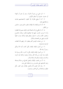١– الرد على من زعم أن القرآن سحر أو شعر أو كهانة أو حديث. مفترى أو أساطير الأولين.

٢– أنه لا ينتفع بالقرآن إلا المتقون لاختصاصهم بمدايته واستقامتهم عليه.

٣– أنه لا يتم الإيمان إلا بالإيمان بالغيب الذي يتميز به المؤمن من الكافي.

٤– أنه لا يكفي في أداء الصلاة مجرد الإتيان بصورها الظاهرة وأنه لا يترتب الثواب عليها إلا بإقامتها ظاهرا وباطنا بالخشوع وحضور القلب وتدبر ما يقول ويفعل فيها وبذلك يترتب عليها الثواب وتنهي عن الفحشاء والمنكر.

٥- من صفات المؤمنين ألهم ينفقون مما رزقهم الله النفقات الواجبة والمستحبة.

٦– من أصول الإيمان الإيمان بكل كتاب أنزله الله وبكل , سول أ, سله الله.

٧– من أصول الإيمان الإيمان بكل ما أحبر به الله ورسوله مما يكون بعد الموت من فتنة القبر وعذابه ونعيمه والحياة بعد الموت والحساب والميزان والصراط والجنة والنار .

٨- أن من اتصف بالإيمان والعمل الصالح من صلاة وصدقة وغير ذلك فهو على هدى من ربه واستقامة على دينه.

٩- بيان ثمرة تقوى الله والعمل بطاعته وهو الفوز بكل مطلوب والنجاة من كل محذور ومرهوب.

 $\mathbf{A}$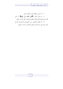١٠- أن الدين والإيمان قول واعتقاد وعمل. ۱۱– في قوله تعالى: ﴿عَلَى هُدًى مِنْ رَبِّهِمْ﴾ رد على القدرية في قولهم أُهُم يخلقون إيمالهم وهداهم، تعالى الله عن قولهم. ١٢– أن الإيمان والتقوى سبب التوفيق إلى الهداية إلى الحق في الدنيا وإلى الفوز في الآخرة بالنعيم والنجاة من عذاب الجحيم.

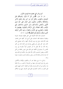أنواع البر التي اتصف ها المؤمنون الأبرار قال الله تعالى: ﴿لِلَّيْسَ الْبِرَّ أَنْ تُوَلُّوا وُجُوهَكُمْ قَبَلَ الْمَشْرِق وَالْمَغْرِب وَلَكنَّ الْبِرَّ مَنْ آمَنَ بِالله وَالْيَوْمِ الآخر وَالْمَلائكَة وَالْكِتَابِ وَالنَّبِيِّينَ وَآتَى الْمَالَ عَلَى حُبِّه ذَوِي الْقُرْبَى وَالْيَتَامَى وَالْمَسَاكِينَ وَابْنَ السَّبِيلِ وَالسَّائلينَ وَفي الرِّقَابِ وَأَقَامَ الصَّلاةَ وَآتَى الزَّكَاةَ وَالْمُوفُونَ بِعَهْدهمْ إِذَا عَاهَدُوا وَالصَّابِرِينَ في الْبَأْسَاء وَالضَّرَّاء وَحِينَ الْبَأْسِ أُولَئكَ الَّذينَ صَدَقُوا وَأُولَئكَ هُمُ الْمُتَّقُونَ﴾ [البقرة: ١٧٧].

اشتملت هذه الآية الكريمة على جمل عظيمة وقواعد عميمة وعقيدة مستقيمة فقد اشتملت على أنواع البر كلها، فمن اتصف هِذِهِ الآيةِ فقد دخلٍ في عرى الإسلامِ كلها، وأخذ بمجامع الخيرِ كله، والبر كل عمل حير يقضي بصاحبه إلى الجنة، قال ابن كثير رحمه الله: إن الله تعالى لما أمر المؤمنين أولاً بالتوجه إلى بيت المقدس، ثم حولهم إلى الكعبة شق ذلك على نفوس طائفة من أهل الكتاب وبعض المسلمين، فأنزل الله تعالى بيان حكمته في ذلك وهو أن المراد إنما هو طاعة الله عز وجل، وامتثال أوامره والتوجه حيثما و جه.

واتباع ما شرع، فهذا هو البر والتقوى والإيمان والكامل، وليس في لزوم التوجه إلى جهة من المشرق أو المغرب بر ولا طاعة إن لم يكن عن أمر الله وشرعه، وقال أبو العالية: كانت اليهود تقبل قبل المغرب، وكانت النصارى تقبل قبل المشرق، يعني في صلاقمم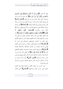فقال الله تعالى: ﴿لَهْيُسَ الْبِرَّ أَنْ تُوَلُّوا وُجُوهَكُمْ قَبَلَ الْمَشْرِق وَالْمَغْرِبِ وَلَكنَّ الْبِرَّ مَنْ آمَنَ بِاللهُ﴾ أي صدق بأنه إله واحد موصوف بكل صفة كمال متره عن كل نقص ﴿وَالْمَيَوْمِ الْآخِرِ﴾ أي وصدق بكل ما أحبر الله به رسوله مما يكون بعد الموت من فتنة القبر وعذابه ونعيمه ويوم القيامة وأهواله ﴿وَالْمَلائكَةُ﴾ أي وصدق بوجود الملائكة الذين وصفهم الله لنا في كتابه ووصفهم رسوله ﷺ وأفيم عباد مكرمون ﴿يُسَبِّحُونَ اللَّيْلَ وَالنَّهَارَ لا يَفْتُرُونَ﴾﴿يَخَافُونَ رَبَّهُمْ منْ فَوْقهمْ وَيَفْعَلُونَ مَا يُؤْمَرُونَ﴾ وأن الله وكلهم بحفظ بني آدم، وكتابة أعمالهم، وقبض أرواحهم بعد الموت، ووكلهم بإعداد الجنة لأهلها، وإيقاد النار وتسعيرها لأهلها وغير ذلك من أعمالهم وأوصافهم وتدبيراقمم التي أمروا ها ﴿وَالْكَتَابَ﴾ القرآن وجميع الكتب المترلة من السماء على الأنبياء فيؤمن بما وبما تضمنته من الأحبار الصادقة، والأحكام العادلة ﴿وَالنَّبِيِّينَ﴾ أي وصدق بالنبيين عموما وحصوصا حاتمهم وأفضلهم محمد ﷺ ﴿وَآتَنِي الْمَالَ عَلَى حُبِّهِ﴾ أي أعطى المال وهو محب له لحاجته إليه أو لنفاسته أو لقلته عنده، ثم ذكر المنفق عليهم وهو أولى الناس ببرك وإحسانك ﴿ذَوِي الْقُرْبَى﴾ وهو قرابة الرحل من النسب والصهر والرحم الذين يتوجع لمصاهم ويفرح بسرورهم الذين يتناصرون.

فمن أحسن البر تعاهد الأقارب بالصلة والإحسان القولي والمالي على حسب قرهم وحاحتهم ﴿وَالْيَتَامَى﴾ الذين فقدوا

12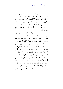آباءهم وهم صغار دون البلوغ الذين لا كاسب لهم وليس لهم قوة يستغنون بها، فمن رحمة أرحم الراحمين أوصى بالإحسان إليهم والعطف عليهم وإكرامهم ﴿وَالْمَسَاكِينَ﴾ وهم الذين لا يجدون ما يكفيهم في قوقمم وكسوقم وسكناهم وهم الذين أسكنتهم الحاجة فلهم حق على الأغنياء بما يدفع مسكنتهم ويسد حاجتهم أو يخففها ما يقدرون عليه وبما تيسر ﴿وَابْنِ السَّبِيلِ﴾ وهو الغريب المنقطع به في غير بلده.

فحث الله على إعطائه من الزكاة وغيرها ما يعينه على سفره، فعلي من أنعم الله عليه بوطنه وراحته وأعطاه من نعمه أن يرحم أخاه الغريب بقدر استطاعته بأن يخفف عليه مؤنة السفر ولو بتزويده أو إعطائه ما يوصله إلى بلده ﴿وَالسَّائِلِينَ﴾ الذين تعرض لهم حاجة من الحوائج توجب السؤال كمن ابتلى بأرش جناية أو ضريبة عليه من ولاة الأمور أو يسأل الناس لتعمير المصالح العامة كالمساحد والمدارس ونحوها، فهذا له حق وإن كان غنيا ﴿وَفِي الرِّقَابِ﴾ يدحل فيه عتق المماليك والإعانة عليه وبذل مال للمكاتب ليوفي سيده، وفداء الأسرى عند الكفار أو عند الظلمة.

﴿ وَإِقَامَ الصَّلاةِ﴾ أي أنمها في وقتها على الوجه المرضى ﴿وَآتَنِي الزَّكَافَ﴾ أي زكي نفسه من الرذائل وطهرها من المآثم وأعطى زكاة ماله لمستحقيها طيبة بما نفسه، وكثيرا ما يقرن الله بين الصلاة والزكاة لكوفمما أفضل العبادات وأكمل القربات القلبية والبدنية والمالية، وهما يوزن الإيمان ويعرف ما مع صاحبه من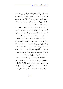الإيقان ﴿وَالْمُوفُونَ بِعَهْدهمْ إِذَا عَاهَدُوا﴾ أي يوفون بما التزموه على أنفسهم لله ولعباده من الحقوق والواجبات والأيمان والنذور والعهود والمواثيق ﴿وَالصَّابِرِينَ في الْبَأْسَاءِ﴾ أي في حالة الفقر لأن الفقير يحتاج إلى الصبر من وجوه كثيرة لكونه يحصل له من الالآم القلبية والبدنية المستمرة ما لا يحصل لغيره.

فإن تنعم الأغنياء بما لا يقدر عليه تألم، وإن حاع أو حاعت عياله تألم، وإن عري تألم، وإن نظر إلى ما بين يديه وما يتوهمه من المستقبل تألم، وإن أصابه البرد الذي لا يقدر على دفعه تألم، فكل هذه ونحوها مصائب يؤمر بالصبر والاحتساب ورجاء الثواب من الله عليها.

والصابرين في الضراء، أي المرض على احتلاف أنواعه من حمى أو قروح ورياح ووجع عضو حتى الضرس والإصبع ونحو ذلك فإنه يحتاج إلى الصبر عليها لأن النفس تضعف والبدن يألم وفي ذلك غاية المشقة على النفوس خصوصا مع تطاول ذلك فإنه يؤمر بالصبر احتسابا لثواب الله ﴿وَحِينَ الْمَأْسِ﴾ أي وقت القتال للأعداء المأمور بقتالهم لأن القتال يشق على النفس غاية المشقة ويجزع الإنسان من القتل والجرح أو الأسر فاحتيج إلى الصبر في ذلك.

﴿ أَوْلَٰٓئِكَ﴾ المتصفون بما ذكر من العقائد الصحيحة والأعمال الصالحة التي هي آثار الإيمان وبرهانه ونوره والأخلاق التي هي جمال الإنسان وحقيقته الإنسانية فأولئك ﴿الَّذِينَ صَدَقُوا﴾ في إبماهم لأن أعمالهم صدقت إبماهُم ﴿وَأُولَٰئِكَ هُمُ الْمُتَّقُونَ﴾ لأهُم تركوا المحظور وفعلوا المأمور لأن هذه الأمور مشتملة على خصال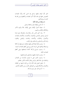الخير لأن الوفاء بالعهد يدحل فيه الدين كله ولأن العبادات المنصوص عليها في هذه الآية أكبر العبادات وأعظمها ومن قام ها كان بما سواها أقوم.

ما يستفاد من هذه الآية:

١- أن الدين والإيمان قول واعتقاد وعمل. ٢ – معرفة أصول الإيمان وهي الإيمان بالله واليوم الآخر

والملائكة والكتاب والنبيين.

٣– بيان أحق الناس بالبر والإحسان والصدقة وهم قرابة الرجل ويشمل الوالدين والإخوان والأخوات والأعمام والعمات والأحوال والخالات والأحداد والجدات واليتامى والفقراء والمساكين والمسافرين والسائلين وفي الرقاب.

٤– وجوب إقام الصلاة في وقتها والإتيان بشروطها وأركانها وواجبالها وإتمامها على الوحه المشروع وهي أعظم العبادات البدنية.

٦- وجوب إحراج الزكاة كاملة لمستحقيها وهي أعظم العبادات المالية.

٧- وجوب الوفاء بالعهود والمواثيق وتحريم نقضها.

٨- وجوب الصبر على ما يصيب الإنسان من المصائب والمشقات في حالة الفقر والمرض وقتال الأعداء المأمور بقتالهم.

٩ – فضل العمل بمذه الآية وأن من قام بما فيها من العقائد والأعمال والأحلاق فهو من الصادقين الأبرار ومن الأتقياء الأحيار . ١٠– أن في المال حق سوى الزكاة.

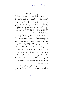من صفات المؤمنين الكمل قال تعالى: ﴿لِيَسْأَلُونَكَ عَنِ الأَنْفَالِ قُلِ الأَنْفَالُ لله وَالرَّسُولِ فَاتَّقُوا اللهُ وَأَصْلِحُوا ذَاتَ بَيْنِكُمْ وَأَطِيعُوا اللَّهُ وَرَسُولَهُ إنْ كُنْتُمْ مُؤْمنينَ \* إِنَّمَا الْمُؤْمنُونَ الَّذينَ إِذَا ذُكرَ اللَّهُ وَجِلَتْ قُلُوبُهُمْ وَإِذَا تُليَتْ عَلَيْهِمْ آيَاتُهُ زَادَتْهُمْ إِيمَانًا وَعَلَى رَبِّهِمْ يَتَوَ كَّلُو نَ \* الَّذينَ يُقِيمُو نَ الصَّلاةَ وَممَّا رَزَقْنَاهُمْ يُنْفقُو نَ \* أُولَئكَ هُمُ الْمُؤْمِنُونَ حَقًّا لَهُمْ دَرَجَاتٌ عِنْدَ رَبِّهِمْ وَمَغْفِرَةٌ وَرِزْقٌ كَوِيمٌ﴾ [الأنفال: ١–٤].

يخبر الله تعالى أن المؤمنين الكاملي الإيمان ﴿الَّذِينَ إِذَا ذُكِرَ اللهُ وَ**جلَتْ قُلُوبُهُمْ﴾** أي خافت ورهبت فأوجبت لهم خشية الله تعالى وفعل أوامره رغبة في الثواب، وترك محارمه حوفا من العقاب ﴿وَإِذَا تُليَتْ عَلَيْهِمْ آيَاتُهُ زَادَتْهُمْ إِيمَانًا﴾ أي تصديقا لأَمْم يلقون لها السمع ويحضرون قلوهم لتدبرها، فعند ذلك يزيد إيمالهم ويظهر لهم معنى كانوا يجهلونه، ويتذكرون ما كانوا نسوه، أو يحدث في قلوبهم رغبة في الخير واشتياقا إلى كرامة ربهم أو وجلا من العقوبات، وازدحارا عن المعاصي، وكلِّ هذا مما يزداد به الإيمان ﴿وَعَلَى رَبِّهِمْ يَتَوَكَّلُونَ﴾ أي يعتمدون على الله وحده لا شريك له في حلب مصالحهم ودفع مضارهم الدينية والدنيوية ويثقون بأن الله تعالى سيفعل ذلك.

والتوكل شرط في الإيمان قال تعالى: ﴿وَعَلَى اللهُ فَتَوَكَّلُوا إِنْ كُنْتُمْ مُؤْمنينَ﴾ [المائدة: ٢٣] ﴿الَّذينَ يُقِيمُونَ الصَّلاقَ﴾ من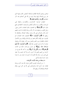فرائض ونوافل بأعمالها الظاهرة والباطنة كحضور القلب فيها الذي هو روح الصلاة ولبها وهذا تنبيه من الله على أعمالهم بعد ذكر اعتقادهم ﴿وَمِمَّا رَزَقْنَاهُمْ يُنْفِقُونَ﴾.

النفقات الواجبة: كالزكوات، والكفارات، والنفقة على الزوجات والأقارب وما ملكت أيمالهم، والمستحبة، كالنفقة في جميع طرق الخير ﴿أُولَٰئِكَ﴾ أي المتصفون بتلك الصفات الخمس وهي: وحل القلوب وخوفها عند ذكر الله، وزيادة الإيمان إذا تليت عليهم آيات الله، والتوكل على الله وحده، وإقامة الصلاة، والإنفاق مما رِزقهم الله ﴿ هُمُمُ الْمُؤْمِنُونَ حَقًّا﴾ المتصفون بهذه الصفات هم المؤمنون حق الإيمان لألهم جمعوا بين الإسلام والإيمان وبين الأعمال الباطنة والظاهرة وبين العلم والعمل وبين أداء حقوق الله وحقوق عباده، ثم ذكر ثواب المؤمنين حقا فقال: ﴿هُمُمُ الْمُؤْمِنُونَ حَقًّا لَهُمْ دَرَجَاتٌ عِنْدَ رَبِّهِمْ﴾ أي منازل ودرحات عالية في الجنات ﴿وَمَغْفَرَةٌ﴾ لذنوهم ﴿وَرِزْقٌ كَوِيمٌ﴾ وهو ما أعد الله لهم في دار كرامته من النعيم المقيم مما لا عين رأت ولا أذن سمعت ولا خطر على قلب بشر نسأل الله الكريم أن لا يحرمنا ما عنده بشر ما عندنا وهو حسبنا ونعم الوكيل.

ما يستفاد من هذه الآيات الكريمات:

١ – من أوصاف المؤمنين الكمل خوف الله عند ذكره وزيادة الإيمان عند سماع آياته واعتمادهم على الله في كل شيء وإقام الصلاة والإنفاق مما , ; قهم الله.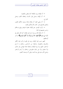٢- أن الإيمان يزيد بالطاعة كما ينقص بالمعصية. ٣- أن الإيمان يشمل قول اللسان واعتقاد القلب وعمل الجوار ح.

٤– أنه ينبغي للعبد أن يتعاهد إيمانه وينميه بالكلم الطيب والعمل الصالح وتدبر كتاب الله والتأمل لمعانيه.

٥- ثواب المؤمنين حق الإيمان مغفرة ذنوهم ورفع درجاقمم وحسن نعيمهم في الجنة.

٦– أن طاعة الله ورسوله شرط في الإيمان كما قال تعالى في الآية التي قبلها ۞﴿وَأَطيعُوا اللَّهُ وَرَسُولَهُ إِنْ كُنْتُمْ مُؤْمِنينَ﴾ ثم ذكر أوصافهم.

اللهم حبب إلينا الإيمان وزينه في قلوبنا وكره إلينا الكفر والفسوق والعصيان واجعلنا من الراشدين برحمتك يا أرحم الراحمين، اللهم زينا بزينة الإيمان واجعلنا هداة مهتدين غير ضالين ولا مضلين ولا عن بابك مطرودين برحمتك يا أرحم الراحمين وصلى الله وسلم على نبينا محمد وعلى آله وصحبه أجمعين.

۲.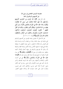معاوضة المؤمنين المجاهدين في سبيل الله عن أنفسهم وأموالهم في الجنة

قال الله تعالى: ﴿إِنَّ اللَّهَ اشْتَرَى منَ الْمُؤْمِنينَ أَنْفُسَهُمْ وَأَمْوَالَهُمْ بِأَنَّ لَهُمُ الْجَنَّةَ يُقَاتِلُونَ في سَبِيلِ الله فَيَقْتُلُونَ وَيُقْتَلُونَ وَعْدًا عَلَيْه حَقًّا في التَّوْرَاة وَالإِنْجيل وَالْقُرْآن وَمَنْ أَوْفَى بعَهْده منَ الله فَاسْتَبْشرُوا بَبَيْعكُمُ الَّذي بَايَعْتُمْ به وَذَلكَ هُوَ الْفَوْزُ الْعَظِيمُ \* التَّاتُبُونَ الْعَابِدُونَ الْحَامِدُونَ السَّائحُونَ الرَّاكعُونَ السَّاجِدُونَ الآمرُونَ بِالْمَعْرُوفِ وَالنَّاهُونَ عَنِ الْمُنْكَرِ وَالْحَافظُونَ لْحُدُود الله وَبَشِّر الْمُؤْمنينَ﴾ [التوبة: ١١١، ١١٢].

يخبر الله تعالى أنه عاوض عباده المؤمنين عن أنفسهم وأموالهم التي بذلوها في سبيله بالجنة، وهذا من فضله وكرمه وإحسانه فإنه قبل العوض عما يملكه بما تفضل به على عبيده المطيعين له بتوفيقه بالجنة التي فيها ما تشتهيه الأنفس وتلذ الأعين وصفة العقد والمبايعة بأن يبذلوا لله نفوسهم وأموالهم في جهاد أعدائه لإعلاء كلمته وإظهار دينه يقاتلون في سبيل الله ﴿فَيَقْتُلُونَ وَيُقْتَلُونَ﴾ أي سواء قتلوا أو قتلوا أو احتمع لهم هذا وهذا فقد وحبت لهم الجنة ﴿وَعْدًا عَلَيْه حَقًّا في التَّوْرَاة وَالإِنْجِيلِ وَالْقُرْآنِ﴾ التي هي أشرف الكتب وأعلاها وأكملها، وهو تأكيد لهذا الوعد الصادق وأحبر بأنه قد كتبه على نفسه الكريمة، وأنزله على رسله في كتبه الكبار وهي: التوراة المتزلة على موسى، والإنجيل المتزل على عيسى، والقرآن المترل على محمد صلوات الله وسلامه عليهم أجمعين.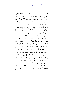﴿وَمَنْ أَوْفَى بِعَهْدِه مِنَ اللَّهُ﴾ فإنه لا يخلف الميعاد ﴿فَاسْتَبْشِرُوا ببَيْعكُمُ الَّذي بَايَعْتُمْ به﴾ أي فليستبشر من قام بمقتضى هذا العقد، ووفى بمذا العهد بالفوز العظيم والنعيم المقيم ﴿وَذَلِكَ هُوَ الْفَوْزُ الْعَظِيمُ﴾ الذي لا أعظم منه، لأنه يتضمن السعادة الأبدية والرضا من الله الذي هو أكبر من نعيم الجنات، وقوله تعالى: ﴿التَّائِبُونَ الْعَابِدُونَ الْحَامِدُونَ السَّائِحُونَ الرَّاكِعُونَ السَّاجِدُونَ الآمرُونَ بالْمَعْرُوف وَالنَّاهُونَ عَنِ الْمُنْكَرِ وَالْحَافظُونَ لحُدُود الله وَبَشِّرِ الْمُؤْمنينَ﴾ هذا نعت المؤمنين الذين اشترى الله منهم أنفسهم وأموالهم هذه الصفات الجميلة والخلال الجليلة كأنه قيل: من هم المؤمنون الذين لهم البشارة من الله بدحول الجنة ونيل الكرامات فقال هم ﴿التَّائِبُونَ﴾ أي الملازمون للتوبة في جميع الأوقات من جميع السيئات ﴿**الْعَابِدُونَ﴾** المتصفون بالعبودية لله، والاستمرار على طاعته من أداء الواجبات والمستحبات في كل وقت ﴿الْحَامِدُونَ﴾ لله في السراء والضراء، والعسر واليسر، المعترفون بنعم الله الظاهرة والباطنة، المثنون على الله بذكرها، وذكره في آناء الليل والنهار ﴿السَّائِحُونَ﴾ قيل: هم المحاهدون، وقيل: هم طلبة العلم، وقيل: الصائمون، واختاره الحافظ ابن كثير في تفسيره، وقال الشيخ عبد الرحمن السعدي –رحمه الله– في تفسيره: والصحيح أن المراد بالسياحة السفر في القربات: كالحج والعمرة والجهاد وطلب العلم وصلة الأقارب ونحو ذلك ﴿الرَّاكِعُونَ السَّاجِدُونَ﴾ المكثرون من الصلاة المشتملة على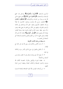الركوع والسجود ﴿الآمرُونَ بِالْمَعْرُوفِ﴾ ويدحل فيه جميع الواجبات والمستحبات ﴿وَالنَّاهُونَ عَنِ الْمُنْكَرِ﴾ وهو جميع ما نمي الله عنه ورسوله من محرمات ومكروهات ﴿وَالْحَافِظُونَ لِحُمْلُودِ اللهُ ﴾ العاملون بشرع الله وأوامره ونواهيه، الملازمون لها فعلا وتركا، فانتفعوا بأنفسهم ونفعوا حلق الله بإرشادهم إلى طاعته وأمرهم بالمعروف ونميهم عن المنكر مع العلم بما ينبغي فعله ويجب تركه وهو حفظ حدود الله في تحليله وتحريمه علما وعملا فقاموا بعبادة الله ونصح عباده ﴿وَبَشِّرِ الْمُؤْمِنينَ﴾ بكرامة الله لهم لأن الإيمان يشمل جميع ما ذكر من العلم والعمل والدعوة والسعادة كل السعادة لمن اتصف به.

ما يستفاد من هذه الآيات الكريمة:

١– أن بذل الأنفس والأموال في سبيل الله هو ثمن الجنة مع الايمان.

٢– أن القاتل والمقتول في سبيل الله في الأجر سواء وكلاهما في الجنة .

٣- أن عهد الله حق ووعده صدق وهو لا يخلف وعده ومن أصدق من الله قيلاً.

٤- عظمة التوراة والإنجيل والقرآن المتضمنة لكلام الله وشرعه وأحباره الصادقة وأحكامه العادلة وعظمة الرسل المترلة عليهم.

٥– من أوصاف المؤمنين بالله التوبة الصادقة والعبادة المستمرة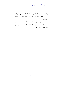وكثرة الحمد لله والثناء عليه والصيام له والجهاد في سبيل الله وكثرة الصلاة والمداومة عليها والأمر بالمعروف والنهي عن المنكر وحفظ حدود الله.

٦- بشارة المؤمنين المتصفين بهذه الأوصاف الحميدة بالفوز العظيم والثواب الجسيم والسعادة الأبدية وذلك فضل الله يؤتيه من يشاء والله ذو الفضل العظيم.

 $Y \xi$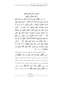الفرق بين أهل العلم والعمل وأهل الضلال والجهل قال تعالى: ﴿أَفَمَنْ يَعْلَمُ أَنَّمَا أُنْزِلَ إِلَيْكَ مِنْ رَبِّكَ الْحَقُّ كَمَنْ هُوَ أَعْمَى إِنَّمَا يَتَذْكَرُ أُولُو الأَلْبَاب \* الذينَ يُوفُونَ بَعَهْد الله وَلا يَنْقضُون المميثاقَ \* وَالذينَ يَصلون مَا أَمَرَ الله به أَن يُوصَل وَيَخْشَوْنْ رَبَّهُمْ وَيَخَافُونْ سُوء الحسَاب \* وَالذينَ صَبَرُوا ابْتغَاء وَجْه رَبِّهمْ وَأقامُوا الصَّلاة وَأَنْفقوا ممَّا رَزَقْنَاهُمْ سرًّا وَعَلانيَة وَيَدْرَءون بِالحَسَنَة السَّيئة أولئكَ لَهُمْ عُقبَى الدَّار \* جَنَّاتُ عَدْن يَدْخُلُونَهَا وَمَنْ صَلحَ منْ آبَائهمْ وَأَزْوَاجِهِمْ وَذَرِّيَّاتِهِمْ وَالْمَلائِكَةَ يَدْخُلُونَ عَلَيْهِمْ مِنْ كُلِّ بَابٍ \* سَلامٌ عَلَيْكُمْ بِمَا صَبَرْتُمْ فَنِعْمَ عُقْبَى الدَّار \* وَالذينَ يَنْقضُون عَهْدَ الله منْ بَعْد ميثاقه وَيَقطعُون مَا أَمَرَ الله به أن يُوصَلَ وَيُفْسدُونَ في الأَرْضِ أُولَئكَ لَهُمُ اللَّعْنَةُ وَلَهُمْ سُوءُ اللدَّارِ﴾ [الرعد: ١٩-٢٤].

يقول الله تعالى مفرقا بين أهل العلم والعمل وبين أهل الضلال والجهل: ﴿أَفَمَنْ يَعْلَمُ أَنَّمَا أُنْزِلَ إِلَيْكَ مِنْ رَبِّكَ الْحَقُّ﴾ ففهم ذلك وعمل به، كمن هو أعمى لا يعلم الحق ولا يعمل به فبينهما من الفرق كما بين السماء والأرض فحقيق بالعبد أن يتذكر ويتفكر أي الفريقين أحسن حالا فيؤثر طريقه، ولكن ما كل أحد يتذكر ما ينفعه ويضره ﴿إِنَّمَا يَتَذَكَّرُ أُولُو الأَلْبَابِ﴾ أصحاب العقول \_7B T/ 7& )DD 56 2
2@F52 /0%8D%1\$ 5\$2-m- N-.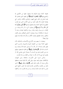بحقوقه كاملة موفرة فالوفاء بما توفيتها حقها من التكميل لها والنصح فيها ﴿وَلَا يَنْقُضُونَ الْمِيثَاقَ﴾ أي العهد الذي عاهدوا الله عليه فدخل في ذلك جميع العهود والمواثيق والأيمان والنذور التي يعقدها العباد، فلا يكون العبد من أولى الألباب الذين لهم الثواب العظيم إلا بأدائها كاملة وعدم نقضها وبخسها ﴿وَالَّذِينَ يَصِلُونَ مَا أَهَرَ اللَّهُ به أَنْ يُوصَلَ﴾ أي يصلون كل ما أمر الله بوصله: من الإيمان به وبرسوله ومحبته ومحبة رسوله والانقياد لعبادته وحده لا شريك له والطاعة لرسوله ويصلون آباءهم وأمهاقمم ببرهم بالقول والفعل، وعدم عقوقهم يصلون الأقارب والأرحام بالإحسان إليهم قولا وفعلاً.

ويصلون ما بينهم وبين الأزواج والأصحاب والمماليك بأداء حقهم كاملا موفرا من الحقوق الدينية والدنيوية، والسبب الذي يجعل العبد واصلاً ما أمر الله به أن يوصل خشية الله وحوف يوم الحساب لهذا قال: ﴿وَيَخْشَوْنَ رَبَّهُمْ﴾ أي يخافونه فيمنعهم حوفهم منه ومن القدوم عليه يوم الحساب أن يتجرأوا على معاصى الله، أو يقصروا في شيء مما أمر الله به، خوفا من العقاب ورجاء للثواب.

والذين صبروا على المأمورات بامتثالها، وعن المنهيات بالانكفاف عنها والبعد منها، وعلى أقدار الله المؤلمة بعدم تسخطها ولكن بشرط أن يكون ذلك الصبر ﴿ابْتِغَاءَ وَجْه رَبِّهِمْ﴾ لا لغير ذلك من المقاصد والأغراض الفاسدة فإن هذا الصبر النافع الذي يحبس به العبد نفسه طلبا لمرضات ربه، ورحاء للقرب منه، والحظوة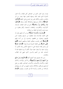بثوابه، وهو الصبر الذي من حصائص أهل الإيمان، وأما الصبر المشترك الذي غايته الجلد ومنتهاه الفخر، فهذا يصدر من البر والفاجر، والمؤمن والكافر فليس هو الممدوح على الحقيقة ﴿وَأَقَامُوا الصَّلاةَ﴾ بأركانها وشروطها ومكملاتما ظاهرا وباطنا ﴿وَأَنْفَقُوا ممَّا رَزَقْنَاهُمْ سرًّا وَعَلانِيَةً﴾ دحل في ذلك النفقات الواجبة، كالزكوات والكفارات، والنفقات المستحبة، وأَهُم ينفقون من حيث دعت الحاجة إلى النفقة سرا وعلانية.

﴿وَيَلاْرَءُونَ بِالْحَسَنَةِ السَّيِّئَةَ﴾ أي من أساء إليهم بقول أو فعل، قابلوه بالإحسان إليه، فيعطون من حرمهم ويعفون عمن ظلمهم، ويصلون من قطعهم، ويحسنون إلى من أساء إليهم ﴿ أُولَٰٓئِكَ﴾ الذين تقدمت صفاتهم الجليلة ومناقبهم الجميلة ﴿لَهُمْ عُقْبَى الدَّارِ﴾ وهي العاقبة الحميدة فسرها بقوله: ﴿جَنَّاتُ عَدْنٍ﴾ أي بساتين إقامة مشتملة على ما تشتهيه الأنفس وتلذ الأعين، لا يزولون منها، ولا يبغون عنها حولا، لألهم لا يرون فوقها غاية لما اشتملت عليه من النعيم والسرور الذي تنتهى إليه المطالب والغايات.

ومن تمام نعيمهم وقرة أعينهم أفمم ۞لأيَدْخُلُونَهَا وَمَنْ صَلَحَ منْ آبَائهِمْ وَأَزْوَاجِهِمْ وَذُرِّيَّاتِهِمْ﴾ من الذكور والإناث، وكذلك النظراء والأشباه والأصحاب والأحباب الصالحين، فإفمم من قبيل أزواجهم وذرياقم، والملائكة يدحلون عليهم من كل باب يهنئوفمم بالسلامة من العذاب وكرامة الله لهم بالثواب، ويقولون ﴿سَلامٌ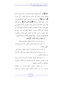عَلَيْكُمْ﴾ أي حلت عليكم السلامة والتحية من الله وحصلت لكم وذلك متضمن لزوال كل مكروه ومستلزم لحصول كل محبوب ﴿وَلِهَا صَبَوْتُمْ﴾ أي بسبب صبركم، وهو الذي أوصلكم إلى هذه المنازل العالية والجنات الغالية ﴿فَنِعْمَ عُقْبَى الدَّارِ﴾ أي نعم عاقبة الصبر على طاعة الله في الدنيا وحنات النعيم في الآخرة فحقيق بمن نصح نفسه وكان لها عنده قدر وقيمة أن يجاهدها، لعلها تأخذ من أوصاف أولى الألباب بنصيب، ولعلها تحظى هذه الدار التي هي أمنية النفوس، وسرور الأرواح الجامعة لجميع اللذات والأفراح، فلمثلها فليعمل العاملون، وفيها فليتنافس المتنافسون وبالله التوفيق.

ما يستفاد من هذه الآيات الكريمات:

١ – عدم التسوية بين العالم والجاهل والمهتدي والضال. ٢- تشبيه عادم العلم والعمل بالأعمى لأنه تائه في ظلمات الجهل والضلال.

٣- أنه لا يتذكر ولا يتعظ إلا أصحاب العقول الحبة الواعية. ٤- من أوصاف المؤمنين الوفاء بالعهد وعدم الغدر لأن ذلك من صفات المنافقين.

٥ – من أوصاف المؤمنين امتثال أمر الله وصلة ما أمر بوصله فيبرون الوالدين ويصلون الأرحام ويحسنون إلى الأقارب والجيران والمماليك من الآدميين والبهائم.

٦– من أوصاف المؤمنين خشية الله في السر والعلانية والخوف من سوء الحساب فلذلك يؤدون الواجبات ويتركون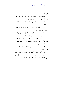المحر مات.

٧- من أوصاف المؤمنين الصبر على طاعة الله والصبر على أقدار الله والصبر عن محارم الله ابتغاء وجه رهم.

٨– من أوصاف المؤمنين إقامة الصلاة فرضا ونفلا بجميع مكملاقما.

٩- من أوصافهم النفقة مما رزقهم الله في الواجبات والمستحبات والسر والعلانية.

١٠- من أوصافهم مقابلة الإساءة بالإحسان فيصلون من قطعهم ويعطون من حرمهم ويعفون عن من ظلمهم.

١١– حسن عاقبة المؤمنين وجزاؤهم وعظم ثواهم حيث فازوا بالجنة والخلود فيها وما اشتملت عليه من النعيم المقيم في جوار الرب الكريم ونجوا من النار.

١٢– أن من كمال نعيم أهل الجنة إلحاق الصالحين بهم من أقارهم وأولادهم.

١٣- أن الملائكة يسلمون على المؤمنين إذا دخلوا الجنة ويهنئولهم بسلامة الله وكرامته لهم في الجنة بسبب صبرهم في الدنيا على طاعة الله، اللهم أدخلنا برحمتك في عبادك الصالحين.

29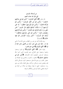من أوصاف المؤمنين التي نالوا بما جنات النعيم قال تعالى: ﴿قَلْ أَفْلَحَ الْمُؤْمِنُونَ \* الَّذينَ هُمْ فِي صَلاتِهِمْ خَاشِعُونَ \* وَالَّذِينَ هُمْ عَنِ اللَّغْوِ مُعْرِضُونَ \* وَالَّذِينَ هُمْ للزَّكاة فاعلون \* وَالَّذِينَ هُمْ لِّفَرُوجِهِمْ حَافظُون \* إلا عَلَى أَزْوَاجِهِمْ أَوْ مَا مَلَكَتْ أَيْمَانُهُمْ فَإِنَّهُمْ غَيْرُ مَلُومينَ \* فَمَنِ ابْتَغَى وَرَاء ذلكَ فَأُولئكَ هُمُ العَادُون \* وَالذينَ هُمْ لأَمَانَاتهمْ وَعَهْدهمْ رَاعُونْ \* وَالَّذِينَ هُمْ عَلَى صَلوَاتِهِمْ يُحَافِظُونَ \* أولئكَ هُمُ الوَارثون \* الذينَ يَرثون الفرْدَوْسَ هُمْ فيهَا خَالِدُونَ﴾ [المؤمنون].

روى الإمام أحمد عن عمر بن الخطاب رضي الله عنه أن النبي ﷺ قال: «لقد أنزل علي عشر آيات من أقامهن دخل الجنة ثم قرأ ﴿قَدْ أَفْلَحَ الْمُؤْمِنُونَ﴾ حتى ختم العشر».

وقوله تعالى: ﴿قَلْمْ أَفْلَحَ الْمُؤْمِنُونَ﴾ أي فازوا وسعدوا ونجحوا وحصلوا على الفلاح، وهم المؤمنون الذين آمنوا بالله وصدقوا المرسلين، المتصفون بمذه الأوصاف ﴿الَّذِينَ هُمْ فِي **صَلاتهمْ خَاشعُونَ﴾ خ**ائفون ساكنون، والخشوع في الصلاة هو حضور القلب بين يدي الله تعالى مستحضرا لقربه، فيسكن لذلك قلبه وتطمئن نفسه، وتسكن حركاته، ويقل التفاته متأدبا بين يدي ربه، مستحضرا جميع ما يقوله ويفعله في صلاته من أولها إلى آخرها، فتنتفي بذلك الوساوس والأفكار الرديئة.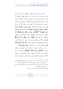وهذا هو روح الصلاة ولبها والمقصود منها، وهو الذي يكتب للعبد فليس له من صلاته إلا ما عقل منها، والصلاة بلا خشوع كبدن ميت بلا روح، وهي وإن كانت محزئة فإن الثواب بحسب ما يعقل منها والخشوع في الصلاة إنما يحصل لمن فرغ قلبه واشتغل ها عما عداها وآثرها على غيره، وحينئذ تكون له راحة وقرة عين كما قال النبي ﷺ «حبب إلى من دنياكم النساء والطيب وجعلت قرة عيني في الصلاة»<sup>(1)</sup> وكما قال ﷺ «يا بلال أرحنا بالصلاة»<sup>(2)</sup> ﴿وَالَّذِينَ هُمْ عَنِ اللَّغْوِ مُعْرِضُونَ﴾ اللّغو الباطل وهو يشمل الشرك والمعاصي وما لا فائدة فيه من الأقوال والأفعال كما قال تعالى: ﴿وَإِذَا مَرُّوا بِاللَّغْوِ مَرُّوا كَرَامًا﴾ [الفرقان: ٧٢] وإذا ملك العبد لسانه في الخير، كان مالكا لأمره، كما قال النبي ﷺ لمعاذ لما وصاه بوصايا: «ألا أخبرك بملاك **ذلك كله» قال قلت: بل**ى يا رسول الله قال: «**كف عليك هذا»<sup>(3)</sup>.** 

فمن صفات المؤمنين الحميدة كف ألسنتهم عن اللغو والمحرمات ﴿وَالَّذِينَ هُمْ لِلزَّكَاةِ فَاعِلُونَ﴾ أي مؤدون لزكاة أموالهم على احتلاف أجناسها، مزكون لأنفسهم عن أدناس الأحلاق ومساوئ الأعمال التي تزكوا النفوس بتركها كما قال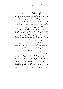تعالى: ﴿قَلْا أَفْلَحَ مَنْ زَكَّاهَا﴾ [الشمس: ٩] فلما أحسنوا في عبادة الخالق بالخشوع أحسنوا إلى خلقه بأداء الزكاة ﴿وَالَّذِينَ هُمْ لِفُوُوجِهِمْ حَافِظُونَ﴾ أي الذين قد حفظوا فروجهم من الحرام فلا يقعون فيما فماهم الله عنه من زنا ودواعيه كالنظر واللمس والخلوة بالأجنبية واللواط ولا يقربون سوى أزواجهم التي أحلها الله لهم، أو ما ملكت أيمالهم من السراري المملوكات ومن تعاطى ما أحله الله فلا لوم عليه ولا حرج، ولهذا قال: ﴿إِلَّا عَلَمِي أَزْوَاجِهِمْ أَوْ مَا مَلَكَتْ أَيْمَانُهُمْ فَإِنَّهُمْ غَيْرُ مَلُومِينَ﴾(فَمَن ابْتَغَى وَرَاءَ ذَلكَ..﴾ الآية أي من طلب غير الأزواج والإماء، فأولئك الذين تعدوا ما أحل الله إلى ما حرمه ﴿وَالَّذِينَ هُمْ لأَمَانَاتِهِمْ وَعَهْدهمْ رَاعُونَ﴾ أي مراعون لأماناقمم وعهودهم ضابطون لها، حريصون على القيام ها وتنفيذها فإذا ائتمنوا لم يخونوا، وإذا عاهدوا وفوا ولم يغدروا، وهذا عام في جميع الأمانات التي هي حق الله والتي هي حق للعباد فجميع ما أوجبه الله على عبده أمانة عليه حفظها بالقيام التام بما، وكذلك يدخل في ذلك أمانات الآدميين: كالأموال والأسرار ونجوهما.

فعلى العبد مراعاة الأمرين وأداء الأمانتين ﴿إِلَّ اللَّهَ يَأْمُوُكُمْ أَنْ تُؤَدُّوا الأَمَانَات إِلَى أَهْلَهَا﴾ [النساء: ٥٨]. وكذلك العهد يشمل العهد الذي بينهم وبين العباد، والتي يلتزمها العبد لله فعليه مراعاهَا والوفاء هِا ﴿وَالَّذِينَ هُمْ عَلَى صَلَوَاتِهِمْ يُحَافِظُونَ﴾ يداومون عليها في أوقالها وشروطها وأركالها، فمدحهم بالخشوع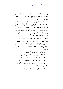في الصلاة وبالمحافظة عليها، لأنه لا يتم أمرهم إلا بالأمرين فمن يداوم على الصلاة من غير خشوع أو على الخشوع من غير محافظة عليها فإنه مذموم ناقص.

ولما وصف الله المؤمنين بالقيام بمذه الصفات الحميدة والأفعال الرشيدة قال: ﴿أُولَئِكَ هُمُ الْوَارِثُونَ \* الَّذِينَ يَرِثُونَ الْفِرْدَوْسَ هُمْ فِيهَا خَاللُونَ﴾ والفردوس أعلى الحنة ووسطها وأفضلها لألهم حلوا من صفات الخير أعلاها وذروقما، والمراد بذلك جميع الجنة، ليدخل بذلك عموم المؤمنين على حسب درجاقم في مراتبهم كل بحسب حاله ﴿هُمْ فِيهَا خَاللُونَ﴾ لا ينتقلون ولا يموتون ولا ينقطع عنهم نعيمها ولا يبغون عنها حولا، لاشتمالها على أكمل نعيم وأفضله وأتمه من غير مكدر ولا منغص، وثبت في الصحيحين أن , سول الله ﷺ قال: «إذا **سألتم الله الجنة، فاسألوه الفردوس** فإنه أعلى الجنة وأوسط الجنة، ومنه تفجر أفمار الجنة وفوقه عرش ا**لرحمن».** 

ما يستفاد من هذه الآيات الكريمات: ١– فلاح المؤمنين وفوزهم بالمطلوب ونحاقمم من المرهوب. ٢ – الحث على الاتصاف بصفات المؤمنين والترغيب فيها. ٣- الحث على الخشوع في الصلاة وحضور القلب فيها. ٤– من صفات المؤمنين الإعراض عن اللغو من الكلام الباطل وما لا حير فيه ولا فائدة.

٥– من صفاقمم الحميدة تزكية النفوس والأموال.

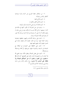تذكير المسلمين بصفات المؤمنين

٦- من صفاقم حفظ الفروج عن الحرام والزنا ودواعيه كالنظر واللمس ونحوهما. ٧– تحريم نكاح المتعة. ٨- تحريم نكاح المحلل والمحلل له. ٩- تحريم العادة السرية وهي الاستمناء باليد ونحوها. ١٠- يشترط في حل المملوكة أن تكون كلها في ملكه فلو كان له بعضها لم تحل لألها ليست مما ملكت يمينه بل هي ملك له ولغيره فكما أنه لا يجوز أن يشترك في المرأة الحرة زوجان فلا يجوز أن يشترك في الأمة المملوكة سيدان.

١١- الحتْ على مراعاة الأمانات والعهود بحفظها وتنفيذها وعدم الخيانة فيها سواء في ذلك حقوق الله وحقوق عباده التي ائتمنوا عليها وأحذ عليهم العهد فيها.

١٢– الحث على المحافظة على الصلوات في أوقالها مع الجماعة في المسجد والمداومة عليها بشروطها وأركالها وواجبالها ومستحياها.

١٣– التنبيه على فضل الصلاة وعظم شألها حيث افتتح الله ها أعمال البر واختتمها ها فدل ذلك على أفضليتها كما قال ﷺ «استقيموا ولن تحصوا واعلموا أن خير أعمالكم الصلاة ولا يحافظ على الوضوء إلا مؤمن» رواه مالك وأحمد وابن ماجه والدارمي وصححه الحاكم والمنذري <sup>(1</sup>).

(1) انظر مشكاة المصابيح ٩٦/١.

$$
\neg \neg \mathfrak{r} \mathfrak{c}
$$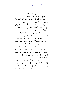من صفات المؤمنين الجمع بين الإحسان في عبادة الله والخوف من عقابه: قال تعالى: ﴿إِنَّ الَّذِينَ هُمْ منْ خَشْيَة رَبِّهِمْ مُشْفقُونَ \* وَالَّذِينَ هُمْ بِآيَاتٍ رَبِّهِمْ يُؤْمِنُونَ \* وَالَّذِينَ هُمْ بِرَبِّهِمْ لا يُشْرِكُونَ \* وَالَّذينَ يُؤْتُونَ مَا آتَوْا وَقُلُوبُهُمْ وَجَلَةٌ أَنَّهُمْ إِلَى رَبِّهِمْ رَاجِعُونَ \* أُولَئِكَ يُسَارِعُونَ في الْخَيْرَاتِ وَهُمْ لَهَا سَابِقُونَ﴾ [سورة المؤمنون: ٥٧–٢١]

لما ذكر الله تعالى الذين جمعوا بين الإساءة والأمن الذين يزعمون أن إعطاء الله إياهم في الدنيا دليل على كرامتهم وفضلهم ذكر الذين جمعوا بين الإحسان والخوف فقال: ﴿إِنَّ الَّذِينَ هُمْ مِنْ خَشْيَة رَبِّهِمْ مُشْفْقُونَ﴾ أي هم مع إحسافهم وإيمافم وعملهم الصالح مشفقون من ربمم حائفون أن لا يقبل منهم وسوء ظن بأنفسهم أن لا يكونوا قد قاموا بحق الله تعالى وحوفا على إيمالهم من الزوال ومعرفة منهم برهم وما يستحقه من الإحلال والإكرام وحوفهم وإشفاقهم يوجب لهم الكف عن الذنوب وعدم التقصير فِي الواجبات ﴿وَالَّذِينَ هُمْ بِآيَاتٍ رَبِّهِمْ يُؤْمِنُونَ﴾ أي يصدقون بآيات الله الشرعية والكونية.

وإذا تليت عليهم آيات الله زادقمم إيمانا وتفكرا ويقينا ﴿وَالَّذِينَ هُمْ بِرَبِّهِمْ لا يُشْرِكُونَ﴾ أي لا يعبدون معه غيره، بل يوحدونه ويعلمون أنه لا إله إلا الله أحدا فردا صمدا، لم يتخذ صاحبة ولا ولدا، فلا يشركون شركا جليا كاتخاذ غير الله معبودا

ه ۳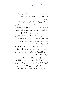يدعوه أو يرجوه أو يخافوه أو يحبه كمحبة الله، ولا شركا حفيا كالرياء ونحوه، بل هم مخلصون لله في أقوالهم وأفعالهم وسائر أحوالهم.

﴿وَالَّذِينَ يُؤْتُونَ مَا آتَوْا وَقُلُوبُهُمْ وَجِلَةٌ﴾ أَي يفعلون ما يفعلون وهم حائفون، ويعطون من أنفسهم مما أمروا به ما آتوا من كل ما يقدرون عليه من صلاة وزكاة وحج وصدقة وقراءة وذكر وغير ذلك ويخافون أن لا يقبل منهم: ﴿أَلَّهُمْ إِلَى رَبِّهِمْ رَاجِعُونَ \* أُولَئكَ يُسَارِعُونَ في الْخَيْرَات وَهُمْ لَهَا سَابِقُونَ﴾ أي يخافون عند رجوعهم إلى الله أن لا تكون أعمالهم مقبولة وهم يسارعون في أعمال الخير، همهم فيما يقرهم إلى الله، وإرادقم مصروفة فيما ينجي من عذابه، فكلِّ حيرٍ سمعوا به بادروا إليه فهم يسارعون في كل خير وينافسون في الزلفي عند رهم.

ولما كان السابق لغيره قد يسبق بجده وتشميره وقد لا يسبق لتقصيره أحبر أن هؤلاء من القسم السابقين فقال: ﴿وَهُمْ لَهَا﴾ أي للخيرات ﴿مَابِقُونَ﴾ قد بلغوا أعلاها، وقد سبقت لهم من الله سابقة السعادة ألهم سابقون.

وروى الإمام أحمد عن عائشة رضي الله عنها ألها قالت يا رسول الله: ﴿وَالَّذِينَ يُؤْتُونَ مَا آتَوْا وَقُلُوبُهُمْ وَجِلَةٌ أَنَّهُمْ إِلَى رَبِّهِمْ رَا**جعُونَ﴾** هو الذي يسرق ويزني ويشرب الخمر وهو يخاف الله عز وجل قال: «لا يا ابنة الصديق، ولكنه الذي يصلى ويصوم ويتصدق وهو يخاف الله عز وجل»، وفي رواية: «وهم يخافون أن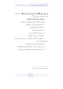Ξ

(1) انظر تفسیر ابن کثیر (۲/۲٤۸).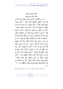صفات المؤمنين المتقين عباد الرحمن وجزاؤهم قال تعالى: ﴿وَعِبَادُ الرَّحْمَنِ الَّذِينَ يَمْشُونَ عَلَى الأَرْضِ هَوْنًا وَإِذَا خَاطَبَهُمُ الْجَاهِلُونَ قَالُوا سَلامًا \* وَالَّذينَ يَبِيتُونَ لرَبِّهِمْ سُجَّدًا وَقِيَامًا \* وَالَّذينَ يَقُولُونَ رَبَّنَا اصْرِفْ عَنَّا عَذَابَ جَهَنَّمَ إِنَّ عَذَابَهَا كَانَ غَرَامًا \* إِنَّهَا سَاءَتْ مُسْتَقَرًّا وَمُقَامًا \* وَالَّذِينَ إِذَا أَنْفَقُوا لَمْ يُسْرِفُوا وَلَمْ يَقْتُرُوا وَكَانَ بَيْنَ ذَلِكَ قَوَامًا \* وَالَّذينَ لا يَدْعُونَ مَعَ الله إِلَهًا آخَرَ وَلا يَقْتُلُونَ النَّفْسَ الَّتِي حَرَّمَ اللَّهُ إلا بالْحَقِّ وَلا يَزْنُونَ وَمَنْ يَفْعَلْ ذَلكَ يَلْقَ أَثَامًا \* يُضَاعَفْ لَهُ الْعَذَابُ يَوْمَ الْقِيَامَة وَيَخْلُدْ فِيه مُهَانًا \* إلا مَنْ تَابَ ۖ وَآمَنَ ۖ وَعَملَ عَمَلاً ۖ صَالحًا ۖ فَأُولَئِكَ ۖ يُبَدِّلُ ۖ اللَّهُ ۚ سَيِّئَاتِهِمْ ۖ حَسَنَات وَكَانَ اللَّهُ غَفُورًا رَحِيمًا \* وَمَنْ تَابَ وَعَملَ صَالحًا فَإِنَّهُ يَتُوبُ إِلَى الله مَتَابًا \* وَالَّذِينَ لا يَشْهَدُونَ الزُّورَ وَإِذَا مَرُّوا باللَّغْو مَرُّوا كرَامًا \* وَالَّذينَ إذَا ذُكِّرُوا بآيَات رَبِّهِمْ لَمْ يَحْرُّوا عَلَيْهَا صُمًّا وَعُمْيَانًا \* وَالَّذينَ يَقُولُونَ رَبَّنَا هَبْ لَنَا منْ أَزْوَاجِنَا وَذُرِّيَّاتنَا قُرَّةَ أَعْيُنِ وَاجْعَلْنَا لِلْمُتَّقِينَ إمَامًا \* أُولَئِكَ يُجْزَوْنَ الْغُرْفَةَ بِمَا صَبَرُوا وَيُلَقَّوْنَ فِيهَا تَحِيَّةً وَسَلامًا \* خَالدينَ فيهَا حَسُنَتْ مُسْتَقَرًّا وَمُقَامًا \* ۚ قُلْ مَا يَعْبَأُ بِكُمْ رَبِّي لَوْلا دُعَاؤُكُمْ فَقَدْ كَذَّبْتُمْ فَسَوْفَ يَكُونُ لزَامًا﴾ [الفرقان: ٦٣ –

 $\sqrt{v}$ 

هذه صفات المؤمنين المتقين عباد الرحمن الذين وصلوا إليها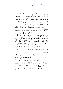واتصفوا ها برحمته، فذكر من صفاقم أكمل الصفات فوصفهم بأَهُم ﴿الَّذِينَ يَمْشُونَ عَلَى الأَرْضِ هَوْنًا﴾ أي ساكنين متواضعين لله وللخلق فهذا وصف لهم بالوقار والسكينة والتواضع لله ولعباده ﴿وَإِذَا خَاطَبَهُمُ الْجَاهِلُونَ﴾ أي خطاب حهل وإساءة وقلة أدب ﴿قَالُوا سَلامًا﴾ أي خاطبوهم خطابا يسلمون فيه من الإثم، ويسلمون من مقابلة الجاهل بجهله ﴿وَالَّذِينَ يَبِيتُونَ لَوَبِّهِمْ سُجَّدًا وَقِيَاهًا﴾ أي يكثرون من صلاة الليل مخلصين فيها لرهم متذللين له خوفا من عقابه وطمعا في ثوابه كما قال تعالى: ﴿قَتَحَافَمِي جُنُوبُهُمْ عَنِ الْمَضَاجِعِ يَدْعُونَ رَبَّهُمْ خَوْفًا وَطَمَعًا وَممَّا رَزَقْنَاهُمْ يُنْفقُونَ \* فَلا تَعْلَمُ نَفْسٌ مَا أُخْفيَ لَهُمْ منْ قُرَّة أَعْيُن جَزَاءً بمَا كَانُوا يَعْمَلُونَ﴾ [السجدة: ١٦، ١٧] ﴿وَالَّذِينَ يَقُولُونَ رَبَّنَا اصْرِفْ عَنَّا عَذَابَ جَهَنَّمَ إِنَّ عَذَابَهَا كَانَ غَرَامًا﴾ أي من صفات المؤمنين الخوف من الله ومن عذابه وألهم يدعون الله أن يصرف عنهم عذاب النار، وأن عذاها ملازما لأهلها كملازمة الغريم لغريمه.

فهم يسألون الله أن يدفعه عنهم بالعصمة من أسبابه ومغفرة ما وقع منهم من أسباب العذاب ﴿إِنَّهَا سَاءَتْ مُسْتَقَرًّا وَمُقَامًا﴾ أي بئست النار مسكنا ومستقرا هذا على جهة التضرع إلى الله وشدة الحاحة إليه في صرف هذا العذاب وأنه ليس في طاقتهم احتماله ﴿وَالَّذِينَ إِذَا أَنْفَقُوا لَمْ يُسْرِفُوا﴾ أي إذا انفقوا النفقات الواجبة والمستحبة ﴿لَمْ يُسْرِفُوا﴾ بأن يزيدوا على الحد فيدحلوا في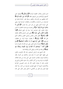قسم التبذير وإهمال الحقوق الواجبة ﴿وَلَمْ يَقْتُرُوا﴾ يضيفوا على أنفسهم وأولادهم ومن تلزمهم نفقته ﴿وَكَانَ بَيْنَ ذَلِكَ قَوَامًا﴾ كان إنفاقهم بين الإسراف والتقتير وسطا بقدر الحاجة فبذلوا في الواجبات من الزكوات والكفارات والنفقات الواجبة فيما ينبغي على الوجه الذي ينبغي من غير ضرر ولا إضرار ﴿وَالَّذِينَ لا يَلاْعُونَ مَعَ الله إِلَهَا آخَرَ﴾ بل يعبدونه ويوحدونه مخلصين له الدين حنفاء مقبلين عليه معرضين عما سواه في جميع شئونهم ﴿وَلَا يَقْتُلُونَ النَّفْسَ الَّتبي حَرَّمَ اللَّهُ﴾ وهي نفس المسلم والكافر المعاهد ﴿[إِلاَّ بِالْحَقِّ﴾ كقتل النفس بالنفس والزابي المحصن والكافر الذي يحل قتله ﴿وَلَا يَوْنُونَ﴾ لا يفعلون حريمة الزنا، بل يحفظون فروجهم ﴿إِلا عَلَى أَزْوَاجِهِمْ أَوْ مَا مَلَكَتْ أَيْمَانُهُمْ﴾ ﴿وَمَنْ يَفْعَلْ ذَلكَ﴾ الشرك أو قتل النفس التي حرم الله إلا بالحق أو الزنا ﴿ إِيَلْقِ ۚ أَثَامًا \* يُضَاعَفْ لَهُ الْعَذَابُ يَوْمَ الْقِيَامَةِ وَيَخْلُدْ فِيهِ مُهَانًا﴾ أي يخلد في العذاب ويلقى الذل والإهانة فيه.

قال الشيخ عبد الرحمن السعدي رحمه الله: فالوعيد بالخلود على فعلها كلها ثابت لا شك فيه، وكذلك لمن أشرك بالله، وكذلك الوعيد بالعذاب الشديد على كل واحد من هذه الثلاثة، لكوفما إما شرك وإما من أكبر الكبائر، وأما حلود القاتل والزاني في العذاب فإنه لا يتناوله الخلود لأنه قد دلت النصوص القرآنية والأحاديث النبوية أن جميع المؤمنين يخرجون من النار، ولا يخلد فيها مؤمن ولو فعل من المعاصي ما فعل ونص تعالى على هذه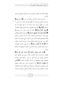الثلاثة، لألها أكبر الكبائر فالشرك فيه فساد الأديان والقتل فيه فساد الأبدان.

والزنا فيه فساد الأعراض والأنساب اهـــ ﴿إِلَّا مَنْ تَابَ﴾ عن هذه المعاصي وغيرها، بأن أقلع عنها في الحال، وندم على ما مضى من فعلها، وعزم عزما جازما أن لا يعود إليها أبدا في المستقبل ﴿وَآمَنَ﴾ بالله إيمانا يقتضي ترك المعاصي وفعل الطاعات ﴿وَعَمِلَ عَمَلاً صَالِحًا﴾ حالصا لله جاريا على سنة رسوله ﷺ ﴿فَأُولَٰئِكَ يُبَدِّلُ اللَّهُ سَيِّئَاتِهِمْ حَسَنَاتٍ﴾ أي تتبدل أقوالهم وأفعالهم التي كانت مستعدة لعمل السيئات تتبدل حسنات فيتبدل شركهم إيمانًا ومعصيتهم طاعة وتتبدل نفس السيئات التي عملوها ثم أحدثوا لكل ذنب منها توبة وإنابة وطاعة، تبدل حسنات كما هو ظاهر الآية ﴿وَكَانَ اللَّهُ غَفُورًا رَحِيمًا﴾ لمن تاب يغفر الذنوب العظيمة، رحيما بعباده المؤمنين حيث دعاهم إلى التوبة، ثم وفقهم لها ثم قبلها منهم.

﴿وَمَنْ تَابَ وَعَملَ صَالحًا فَإِنَّهُ يَتُوبُ إِلَى الله مَتَابًا﴾ فليعلم أن توبته في غاية الكمال، لألها رجوع إلى الطريق الحق المستقيم الموصل إلى الله الذي هو عين سعادة العبد وفلاحه فليخلص فيها وليخلصها من شوائب الأغراض الفاسدة ﴿وَالَّذِينَ لا يَشْهَدُونَ الزُّورَ﴾ أي لا يحضرون الزور، وهو القول والفعل المحرم، فيجتنبون جميع المحالس المشتملة على الأقوال المحرمة والأفعال المحرمة، كالخوض في آيات الله، والجدال بالباطل والغيبة، والنميمة،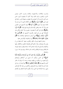والسب، والقذف، والاستهزاء، والغناء، وشرب الخير، وفرش الحرير، والصور، ونحو ذلك، وإذا كانوا لا يشهدون الزور، فمن باب أولى وأحرى أن لا يقولوه ولا يفعلوه، وشهادة الزور داحلة في قول الزور ﴿وَإِذَا مَرُّوا بِاللُّغْوِ﴾ وهو الكلام الذي لا خير فيه ولا فائدة دينية ولا دنيوية ﴿هَوُّوا كَوَاهًا﴾ نزهوا أنفسهم عن الخوض فيه ورأوا أنه سفه ونقص للإنسانية والمروءة وفي قوله: ﴿وَإِذَا مَوْوًا باللُّغْوِ﴾ إشارة إلى أفمم لا يقصدون حضوره ولا سماعه ولكن عند المصادفة التي من غير قصد يكرمون أنفسهم عنه ﴿وَالَّذِينَ إِذَا ذُكِّرُوا بِآيَاتٍ رَبِّهِمْ﴾ التي أمرهم باستماعها والاهتداء بِما ﴿لَمَّ يَخرُّوا عَلَيْهَا صُمًّا وَعُمْيَانًا﴾ أي لم يقابلوها بالإعراض عنها.

وعدم سماعها وصرف النظر والقلوب عنها، كما يفعله من لم يؤمن ها ويصدق، وإنما حالهم أفمم يقابلوها بالقبول والافتقار إليها والانقياد والتسليم لها وتجد عندهم آذانا سامعة وقلوبا واعية، فيزداد ها إيمالهم ويتم ها إيقالهم وتحدث لهم نشاطا، ويفرحون ها سرورا واغتياطا.

﴿وَالَّذِينَ يَقُولُونَ رَبَّنَا هَبْ لَنَا مِنْ أَرْوَاجِنَا وَذُرِّيَّاتِنَا قُرَّةَ أَعْيُنٍ﴾ أي الذين يسألون أن يخرج من أصلاهم وإحوالهم وأزواجهم من ذرياتهم من يطيعه ويعبده وحده لا شريك له، فتقر أعين والديهم هم ﴿وَاجْعَلْنَا لِلْمُتَّقِينَ إِمَامًا﴾ أي أوصلنا يا ربنا إلى هذه الدرجة العالية درجة الصديقين والكمل من عباد الله الصالحين وهي درجة الإمامة في الدين، وأن يكونوا قدوة للمتقين في أقوالهم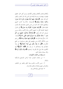وأفعالهم يقتدى بأفعالهم ويطمئن لأقوالهم، ويسير أهل الخير حلفهم فيهدون ويهتدون، ودرجة الإمامة في الدين إنما تنال بالصبر واليقين كما قال تعالى: ﴿وَجَعَلْنَا مِنْهُمْ أَئِمَّةً يَهْدُونَ بِأَمْرِنَا لَمَّا صَبَرُوا وَكَانُوا بِآيَاتِنَا يُوقِنُونَ﴾ [السجدة: ٢٤] ولما كانت هممهم ومطالبهم عالية، كان الجزاء من جنس العمل، فجازاهم الله بالمنازل العالية فقال: ﴿أُولَئِكَ يُجْزَوْنَ الْغُرْفَةَ بِمَا صَبَرُوا﴾ أي المنازل الرفيعة الجامعة لكل ما تشتهيه الأنفس وتلذ الأعين، وذلك بسبب صبرهم كما قال تعالى: ﴿وَالْمَلائكَةُ يَدْخُلُونَ عَلَيْهِمْ مِنْ كُلِّ بَاب \* سَلامٌ عَلَيْكُمْ بِمَا صَبَرْتُمْ فَنعْمَ عُقْبَى الدَّارِ﴾ [الرعد: ٢٢، ٢٤] ولهذا قال هنا: ﴿وَيُلَقَّوْنَ فِيهَا تَحِيَّةً وَسَلامًا﴾ من ربمم ومن ملائكته الكرام ومن بعضهم على بعض ويسلمون من جميع المكدرات ﴿قُلْ مَا يَعْبَأُ بِكُمْ رَبِّي لَوْلا دُعَاؤُكُمْ﴾ أي لولا دعاؤكم إياه وعبادتكم له لم يبال بكم ﴿فَقَلْ كَذَّبْتُمْ﴾ أيها الكافرون فلا يبالي الله بكم إذا لم تعبدوه ﴿فَسَوْفَ يَكُونُ لَزَامًا﴾ والله سبحانه وتعالى أعلم.

ما يستفاد من الآيات الكريمات:

١- من صفات المؤمنين عباد الرحمن التواضع والسكينة والوقار .

٢– حسن الأدب والحلم وسعة الخلق والعفو عن الجاهلين والإعراض عنهم ومقابلة إساءقمم بالإحسان. ٣- قيام الليل والإخلاص فيه.

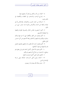٤– الخوف من النار والتضرع لرهم أن ينجيهم منها. ٥- إحراج الواحب والمستحب في النفقات والاقتصاد في ذلك وغيره.

٦– السلامة من كبائر الذنوب والاتصاف بالإخلاص لله في عبادته والعفة عن الدماء والأعراض والتوبة عند صدور شيء من ذللي.

٧- ألهم لا يحضرون مجالس المنكر والفسوق القولية والفعلية ولا يفعلوها بأنفسهم.

٨– أَهْم يتترهون عن اللغو والأفعال التي لا خير فيها وذلك يستلزم مرؤقمم وإنسانيتهم وكمالهم ورفعة أنفسهم عن كل خسيس قولي وفعلي.

٩– أَنْهُمْ يقابلُونَ آياتِ الله بالقبول لها والتفهم لمعانيها والعمل ها والاحتهاد في تنفيذ أحكامها.

١٠– ألهم يدعون الله تعالى بأكمل الدعاء لهم ولمن يتعلق هم وينتفع به المسلمون من صلاح أزواجهم وذرياتهم. ١– تكميل التوبة على أكمل الوجوه وأجلها. ١٢– الدعاء ببلوغ أعلى الدرجات الممكنة وهي درجة الإمامة في الدين. ١٣– عدم مبالاة الله بعباده إذا لم يعبدوه.

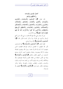أعمال المؤمنين والمؤمنات وأخلاقهم وثواهم قال تعالى: ﴿إِنَّ الْمُسْلِمِينَ وَالْمُسْلِمَاتِ وَالْمُؤْمِنينَ وَالْمُؤْمِنَات وَالْقَانِتِينَ وَالْقَانِتَات وَالْصَّادِقِينَ وَالْصَّادِقَات وَالصَّابِرِينَ وَالصَّابِرَاتِ وَالْخَاشِعِينَ وَالْخَاشِعَاتِ وَالْمُتَصَدِّقِينَ وَالْمُتَصَدِّقَات وَالْصَّائِمِينَ وَالْصَّائِمَات وَالْحَافَظِينَ فَرُوجَهُمْ وَالْحَافْظَاتْ وَالْذَاكْرِينَ الله كَثيرًا وَالْذَاكْرَاتْ أَعَدَّ الله لَهُمْ مَغْفِرَةً وَأَجْرًا عَظِيمًا﴾ سورة الأحزاب.

عن أم سلمة رضي الله عنها ألها قالت: يا نبي الله، ما لي أسمع الرحال يذكرون في القرآن ولا يذكر النساء فأنزل الله: ﴿إِنَّ الْمُسْلمينَ وَالْمُسْلمَاتِ، الآية رواه النسائي.

فقوله تعالى: ﴿إِنَّ الْمُسْلمينَ وَالْمُسْلمَاتِ﴾ أي المستسلمين لأمر الله المطيعين له القائمين بأركان الإسلام الظاهرة، الذين يشهدون أن لا إله إلا الله وأن محمدا رسول الله، ويقيمون الصلاة ويؤتون الزكاة ويصومون رمضان ويحجون البيت الحرام، ويسلم المسلمون من أذيتهم بالقول والعمل ﴿وَالْمُؤْمِنينَ وَالْمُؤْمِنَاتِ﴾ وهذا في الأمور الباطنة من عقائد القلب وأعماله فيصدقون بالله وملائكته وكتبه ورسله واليوم الآخر من البعث بعد الموت والجزاء والحساب والثواب والعقاب والميزان والصراط والجنة والنار ويصدقون بالقدر حيره وشره ﴿وَالْقَانتينَ وَالْقَانتَاتِ﴾ المطيعين لله ولرسوله.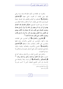والقنوت هو الطاعة في سكون فالإسلام بعده مرتبة يرتقي إليها وهي الإيمان، ثم القنوت ناشئ عنهما ﴿وَالصَّادِقِينَ وَالصَّادقَاتِ﴾ الصادقين في أقوالهم وأفعالهم، فإن الصدق حصلة محمودة وهو علامة على الإيمان، كما أن الكذب علامة النفاق ومن صدق نجا، وفي الحديث الصحيح «عليكم بالصدق فإن الصدق يهدي إلى البر وإن البر يهدي إلى الجنة ولا يزال الرجل يصدق ويتحرى الصدق حتى يكتب عند الله صديقا وإن الكذب يهدي إلى الفجور وإن الفجور يهدي إلى النار، ولا يزال الرجل يكذب ويتحرى الكذب حتى يكتب عند الله كذابا»<sup>(1)</sup>.

﴿وَالصَّابِرِينَ وَالصَّابِرَاتِ﴾ أي الصابرين على الطاعات بعدم تركها، والصابرين عن المعاصي والمحرمات بعدم فعلها والصابرين على الأقدار والمصائب بعدم تسخطها ﴿وَالْخَاشِعِينَ وَالْمَحَاشِعَاتِ﴾ الخشوع (الكسون) والطمأنينة والتؤدة والوقار والتواضع، فيخشعون لله في جميع أحوالهم خصوصا في عبادالهم ولا سيما في الصلوات.

والحامل على الخشوع الخوف من الله تعالى ومراقبته كما في  $^{(2)}$  الحديث «اعبد الله كأنك تراه فإن لم تكن تراه فإنه يراك» ا ﴿وَالْمُتَصَلِّقَينَ وَالْمُتَصَلِّقَاتٍ﴾ أي فرضا ونفلا والصدقة هي الإحسان إلى الناس المحاويج الضعفاء الذين لا كسب لهم ولا

> (1) رواه البخاري ومسلم. . (2) د واه مسلم)

 $24$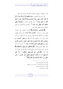كاسب يعطون من فضول الأموال طاعة لله وإحسانا إلى خلقه.

وقد ثبت في الصحيح: «**سبعة يظلهم الله في ظله يوم لا ظل** إلا ظله، فذكر منهم رجلا تصدق بصدقة فأخفاها حتى لا تعلم شماله ما تنفق يمينه»<sup>(1)</sup>، وفي الحديث الآحر: «والصدقة تطفئ الخطيئة كما يطفئ الماء النار»<sup>(2)</sup>، والآيات والأحاديث في فضل الصدقة والحث علبها كثيرة جدا.

﴿وَالصَّائِمِينَ وَالصَّائِمَاتِ﴾ الفرض والنفل، وفي الحديث الذي رواه ابن ماجه: «**الصوم زكاة البدن**» أي يزكيه ويطهره وينقيه من الأحلاق الرديئة طبعا وشرعا، ولما كان الصوم من أكبر العون على كسر الشهوة كما قال ﷺ «**يا معشر الشباب من** استطاع منكم الباءة فليتزوج فإنه أغض للبصر وأحصن للفرج ومن لم يستطع فعليه بالصوم فإنه له وجاء» <sup>(3)</sup> ناسب أن يذكر بعده حفظ الفروج فقال: ﴿وَالْحَافِظِينَ فُرُوجَهُمْ وَالْحَافِظَاتِ﴾ أي عن الزنا ومقدماته وعن جميع المحارم والمآثم إلا عن المباح كما قال تعالى: ﴿وَالَّذِينَ هُمْ لِفُرُوجِهِمْ حَافظُونَ \* إِلا عَلَى أَزْوَاجِهِمْ أَوْ مَا مَلَكَتْ أَيْمَانُهُمْ فَإِنَّهُمْ غَيْرُ مَلُومِينَ \* فَمَنِ ابْتَغَى وَرَاءَ ذَلِكَ فَأُولَئِكَ هُمُ الْعَادُونَ﴾ (<sup>4)</sup>.

٤V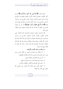وقوله تعالى: ﴿وَاللَّاكرينَ اللَّهَ كَثِيرًا وَاللَّاكرَاتَ﴾ أي في أكثر الأوقات خصوصا أوقات الأوراد المقيدة بالصلوات والصباح والمساء وعند النوم والانتباه ودحول المترل والخروج منه، ودحول المسحد والخروج منه، وعند الأكل والشرب والفراغ منهما وغير ذلك ﴿أَعَدَّ اللَّهُ لَهُمْ مَغْفِرَةً وَأَجْرًا عَظِيمًا﴾ هذا حبر عن هؤلاء المذكورين كلهم بأن الله قد هيأ لهم مغفرة لذنوبهم وثوابا عظيما وهي الجنة.

لأن الحسنات يذهبن السيئات ولاشتمال هذه الأعمال على أعمال القلوب وأقوال اللسان وأعمال الجوارح من واجب ومستحب، فمن قام هذه الصفات المذكورة في هذه الآية، فقد قام بالدين كله ظاهره وباطنه وقوله واعتقاده وعمله وقد قام بالإسلام والإيمان والإحسان فجازاهم الله أوفر الجزاء، نسأل الله تعالى أن يجعلنا منهم بمنه وكرمه.

ما يستفاد من هذه الآيات الكريمات:

١– أن الإيمان غير الإسلام وأخص منه فكل مؤمن مسلم وليس كل مسلم مؤمنا ووجوب الإسلام والإيمان وفضلهما. ٢ – أن دين الإسلام قول واعتقاد وعمل. ٣– الحث على طاعة الله ورسوله والمداومة عليها. ٤ – الحث على الصدق في الأقوال والأفعال والأحبار . ٥- فضل الصبر على طاعة الله والصبر عن معاصى الله والصبر على أقدار الله المؤلمة.

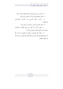٦– الترغيب في الحشو ع لله في عبادته وفضله والحث عليه. ٧- فضل الصدقة والإحسان إلى الفقراء والمساكين. ٨- وجوب حفظ الفروج عن المحرمات والفواحش و دواعيهما.

٩- فضل الصوم الواحب والمستحب والحث عليه. ١٠- فضل الذكر لله كثيرا في جميع الأوقات والأحوال والمناسبات في الليل والنهار والصباح والمساء. ١١- مغفرة الله للمؤمنين والمؤمنات المتصفين بما ذكر الله وأجرهم العظيم وثوابهم الجسيم وذلك فضل الله يؤتيه من يشاء والله ذو الفضل العظيم.

 $69$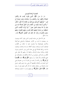التجارة الرابحة للمؤمنين قال الله تعالى: ﴿إِنَّ الَّذِينَ يَتْلُونَ كَتَابَ الله وَأَقَامُوا الصَّلاةَ وَأَنْفَقُوا ممَّا رَزَقْنَاهُمْ سرًّا وَعَلانيَةً يَرْجُونَ تجَارَةً لَنْ تَبُورَ \* ليُوَفِّيَهُمْ أُجُورَهُمْ وَيَزِيدَهُمْ منْ فَضْله إنَّهُ غَفُورٌ شَكُورٌ \* وَالَّذي أَوْحَيْنَا إِلَيْكَ مِنَ الْكِتَابِ هُوَ الْحَقُّ مُصَدِّقًا لَمَا بَيْنَ يَدَيْه إِنَّ اللَّهَ بِعِبَاده لَخَبِيرٌ بَصِيرٌ \* ثُمَّ أَوْرَثْنَا الْكتَابَ الَّذِينَ اصْطَفَيْنَا منْ عبَادنَا فَمنْهُمْ ظَالمٌ لنَفْسه وَمنْهُمْ مُقْتَصِلٌ وَمنْهُمْ سَابِقٌ بِالْخَيْرَاتِ بِإِذْنِ اللهِ ذَلِكَ هُوَ الْفَضْلُ الْكَبِيرُ﴾ [فاطر:  $\sqrt{r\tau-\tau}$ 

يخبر الله تعالى عن عباده المؤمنين الذين يتلون كتابه ويؤمنون به، ويعملون بما فيه من الأوامر فيمتثلوها والنواهي فيتركوها والأحبار فيصدقوها ولا يقدمون عليه ما حالفه من الأقوال، فيمتثلون أوامره ونواهيه، ويتلون ألفاظه بدراسته ومعانيه، ويعملون بما فيه من إقام الصلاة التي هي عماد الدين ونور المسلمين وميزان الإيمان وعلامة صدق الإسلام، والنفقة مما رزقهم الله تعالى على الأقارب والمساكين وغيرهم من الزكاة والكفارات والصدقات في جميع الأوقات ليلاً ونهارًا سرًا وجهارا ﴿يَوْجُونَ﴾ بذلك ﴿تَعَجَلَوْنَ لَنْ تَبُورَ﴾ أي لن تكسد أو تفسد بل تجارة لا بد من حصولها وهي أجل التجارات وأعلاها وأفضلها ألا وهي رضا رهم والفوز بجزيل ثوابه والنجاة من سخطه وعقابه، ثم ذكر أفمم حصل لهم ما رجوه فقال: ﴿إِلَّهُ غَفُورٌ شَكُورٌ﴾ أي يوفيهم ثواب ما عملوه ويضاعفه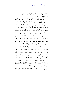بزيادات عن أجورهم لم تخطر ببالهم ﴿لِيُوَفِّيَهُمْ أُجُورَهُمْ وَيَزِيدَهُمْ **منْ فَضْلُه؟ غَف**ر لهم السيئات.

وقبل منهم القليل من الحسنات، ثم أحبر تعالى أن الكتاب الذي أوحاه إلى رسوله وهو القرآن ﴿هُفَوَ الْمَحَقُّ﴾ لكثرة ما اشتمل عليه من الحق والصدق والعدل، فإذا كان هو الحق لزم أن يكون كل ما دل عليه مطابق للواقع ﴿ مُصَلِّقًا لَمَا بَيْنَ يَدَيْهِ﴾ لما قبله من الكتب والرسل لألها أحبرت به وهو صدقها ﴿إِنَّ اللَّهَ بِعَبَادِهِ لَخَبِيرٌ بَصِيرٌ﴾ أي حبيرٍ وعليم بعباده بصيرٍ بمن يستحق التفضيل على من سواه فيعطي كل أمة وكل شخص ما هو اللائق بحاله ولهذا فضل الله الأنبياء والرسل على سائر البشر، وفضل النبيين بعضهم على بعض، ورفع بعضهم درجات وجعل منزلة محمد ﷺ فوق منزلة جميعهم، وجعله خاتم الرسل، وأرسله إلى الناس كافة.

فجاء هذا الشرع الشريف والدين القويم الذي تكفل بمصالح الخلق إلى يوم القيامة، وجعل أمة محمد ﷺ حير الأمم وأكرمها على الله ولهذا اصطفاهم الله تعالى واصطفى لهم دين الإسلام وأورثهم هذا الكتاب المهيمن على سائر الكتب ولهذا قال: ﴿فَقُمَّ أَوْرَثْنَا الْكتَابَ الَّذِينَ اصْطَفَيْنَا منْ عبَادنَا﴾ أي جعلنا القائمين هذا القرآن علما وعملا واعتقادا ودعوة الذين احترنا من عبادنا، وهم هذه الأمة ثم قسمهم إلى ثلاثة أنواع فقال: ﴿فَعَنْهُمْ ظَالَمٌ لَنَفْسِهُ﴾ وهو المفرط في بعض الواجبات المرتكب لبعض المحرمات والمعاصي التي هي دون الكفر ﴿وَمَنْهُمْ مُقْتَصِدٌ﴾ وهو المؤدي للواجبات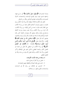وتارك للمحرمات ﴿وَمَنْهُمْ سَابِقٌ بِالْخَيْرَاتِ﴾ أي سارِ ع فيها، واحتهد فسبق غيره، وهو المؤدي للواجبات والمستحبات، التارك للمحرمات والمكروهات، فيؤدي الفرائض ويكثر من النوافل.

فكل هذه الأقسام الثلاثة اصطفاه الله لوراثة هذا الكتاب وإن تفاوتت مراتبهم وتنوعت أعمالهم فلكل قسط من وراثة الكتاب حيّ الظالم لنفسه فإن ما معه من أصل الإيمان من وراثة الكتاب، لأن المراد من وراثة الكتاب وراثة علمه وعمله ودراسة ألفاظه واستخراج معانيه وذلك بتوفيق الله ومعونته، وأغبط الناس بمذه النعمة وأولاهم بمذه الرحمة هم العلماء بالله وبأمره ودينه والعاملون بعلمهم كما قال تعالى: ﴿إِنَّمَا يَخْشَى اللَّهَ منْ عَبَادِهِ الْعُلَمَاءُ﴾ [فاطر: ٢٨] وقال تعالى: ﴿يَوْفَعِ اللَّهُ الَّذِينَ آمَنُوا منْكُمْ وَالَّذِينَ أُوتُوا الْعِلْمَ دَرَجَاتٍ﴾ [الجادلة: ١١] ﴿ذَلِكَ هُوَ الْفَصْلُ الْكَبِيرُ﴾ أي وراثة الكتاب لمن اصطفى الله تعالى من عباده هو الفضل الكبير والنعمة العظمى، فأجل النعم على الإطلاق وأكبر الفضل وراثة هذا الكتاب وذلك فضل الله يؤتيه من يشاء والله ذو الفضل العظيم.

ما يستفاد من هذه الآيات الكريمات: ١– فضل من قرأ القرآن وعمل بما فيه. ٢ – الحث على إقامة الصلاة والمحافظة عليها والعناية ها. ٣- الترغيب في الإنفاق من رزق الله في الواجبات والمستحبات بالليل والنهار سرا وعلانية.

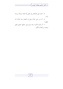٤– الحث على الإخلاص في العمل لله ابتغاء مرضاته ورحاء ثوابه.

٥- أن من رجي شيئًا وسعى في تحصيله بنية صالحة نال مطلوبه.

٦– أن تجارة الآخرة رابحة حيث يفوز طالبها بالنعيم المقيم وينجو من العذاب الأليم.

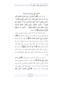الأشياء التي ينال بما ما عند الله قال الله تعالى: ﴿فَعَمَا أُوتِيتُمْ منْ شَيْءٍ فَمَتَا عُ الْحَيَاةِ الدُّنْيَا وَمَا عنْدَ الله خَيْرٌ وَأَبْقَى للَّذينَ آمَنُوا وَعَلَى رَبِّهِمْ يَتَوَكَّلُونَ \* وَالَّذِينَ يَجْتَنِبُونَ كَبَائرَ الإِثْمِ وَالْفَوَاحِشَ وَإِذَا مَا غَضِبُوا هُمْ يَغْفِرُونَ \* وَالَّذِينَ اسْتَجَابُوا لِرَبِّهِمْ وَأَقَامُوا الصَّلاةَ وَأَمْرُهُمْ شُورَى بَيْنَهُمْ وَمِمَّا رَزَقْنَاهُمْ يُنْفَقُونَ \* وَالَّذِينَ إِذَا أَصَابَهُمُ الْبَغْيُ هُمْ يَنْتَصِرُونَ﴾ [الشورى].

يقول الله تعالى محقرا لشأن الدنيا وزينتها وما فيها من الزهرة والنعيم الفاين ومرغبا في الآخرة بذكر الأعمال الموصلة إليها ﴿فَعَلَمَا أُوتِيتُمْ منْ شَيْء فَمَتَا عُ الْحَيَاة اللُّنْيَا﴾ أي مهما حصلتم في هذه الحياة من ملك ورئاسة وأموال وبنين وصحة وعافية بدنية، فلا تغتروا به فإنما هو متاع الحياة الدنيا، وهي دار دنيئة فانية زائلة، ولذاتما منغصة منقطعة ﴿وَمَا عَنْدَ الله خَيْرٌ وَأَبْقَى﴾ أي ما عند الله من الثواب الجزيل والأجر العظيم والنعيم المقيم حير من لذات الدنيا وهو باق سرمدي فلا تقدموا الفاني على الباقي، فيشغلكم هذا عن ذاك

ثم ذكر لمن يكون هذا الثواب الدائم فقال: ﴿لِللَّذِينَ آمَنُوا وَعَلَى رَبِّهِمْ يَتَوَكَّلُونَ﴾ أي جمعوا بين الإيمان الصحيح المستلزم لأعمال الجوارح وأعمال الإيمان الظاهرة والباطنة وبين التوكل وهو اعتماد القلب على الله في حلب المنافع ودفع المضار ليعينهم على فعل الواجبات وترك المحرمات ﴿وَالَّذِينَ يَجْتَنِبُونَ كَبَائِرَ الإِثْمِ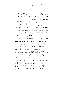وَالْفَوَاحِشَ﴾ وهي موحبات الحدود، وقيل: كبائر الإثم كل ذنب تعظم عقوبته، كالقتل والزنا والسرقة وشبه ذلك، والفواحش ما عظم قبحه من الأقوال والأفعال.

وقيل: هما بمعنى واحد، فذكر الفواحش بعد كبائر الإثم من عطف البعض على الكل والله أعلم، ﴿وَإِذَا مَا غَضِبُوا هُمْ يَغْفِرُونَ﴾ أي إذا أغضبهم أحد بقوله أو فعله كظموا ذلك الغضب، فلم ينفذوه وقابلوا المسيء بالإحسان والعفو والصفح، قد تخلقوا بمكارم الأحلاق ومحاسن الشيم فصار الحلم لهم سجية، وحسن الخلق لهم عادة وطبيعة ﴿وَالَّذِينَ اسْتَجَابُوا لَوَبِّهِمْ﴾ أي أجابوه إلى ما دعاهم إليه من طاعته وطاعة رسوله فامتثلوا الأوامر واجتنبوا النواهي، ومن الاستجابة لله إقامة الصلاة فلهذا عطفها على ذلك من باب عطف الخاص على العام الدال على شرفه وفضله فقال: ﴿وَأَقَامُوا الصَّلاةَ﴾ أي باطنها وظاهرها وفرضها ونفلها بجميع واجباقما وحقوقها وهي أعظم العبادات لله تعالى بعد توحيده ﴿وَأَهْرُهُمْ شُورَى بَيْنَهُمْ﴾ يعني يتشاورون فيما يبدو لهم من الأمور المشتركة، ولا ينفردون بأمر لم يجتمعوا عليه.

وذلك كالرأي في الحرب والجهاد وتولية الموظفين الوظائف الهامة كالإمارة والقضاء ونحو ذلك من المصالح العامة الدينية والدنيوية فيتساعدون بآرائهم كما قال تعالى: ﴿وَشَاوِرْهُمْ فِي الأَمْرِ﴾ [آل عمران: ١٥٩] ولهذا كان ﷺ يشاور أصحابه في الحروب ونحوها، ليطيب بذلك قلوهم، وهكذا لما حضرت عمر بن

 $\circ$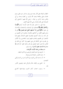الخطاب الوفاة جعل الأمر بعده شوري في ستة نفر حين طعن، وهم عثمان وعلى وطلحة وعبيد الله والزبير بن العوام وسعد بن أبي وقاص وعبد الرحمن بن عوف –رضي الله عنهم– فاحتمع رأي الصحابة على تقديم عثمان رضي الله عنهم أجمعين.

وقد قيل: ما تشاور قوم إلا هدوا لأرشد أمرهم ﴿وَمِمَّا رَزَقْنَاهُمْ يُنْفَقُونَ﴾ يتصدقون في الواجبات والمستحبات بالإحسان إلى حلق الله ﴿وَالَّذِينَ إِذَا أَصَابَهُمُ الْبَغْيُ هُمْ يَنْتَصِرُونَ﴾ أي إذا وصل إليهم الظلم من أعدائهم والعدوان ينتقمون ممن ظلمهم من غير تعد ولم يذلوا أنفسهم فيجترئ عليهم الفساق وفيهم قوة الانتصار ممن ظلمهم واعتدى عليهم ليسوا بالعاجزين ولا الأذلين بل يقدرون على الانتقام ممن بغي عليهم وإن كانوا مع ذلك في الغالب إذا قدروا عفوا فحصل لهم العز بذلك العفو كما قال ﷺ «ما زاد الله عبدا بعفو إلا عزا» رواه مسلم.

ما يستفاد من هذه الآيات الكريمات:

١ – التزهيد في الدنيا الفانية والترغيب في الآخرة الباقية. ٢– عدم الاغترار بالحياة الدنيا وزهرتما. ٣– أن ما عند الله من الثواب في الآخرة خير من الدنيا وأبقى للمؤ منين.

٤– الجمع بين الإيمان بالله والتوكل عليه وتفويض الأمور إليه.

٥- وجوب اجتناب كبائر الذنوب وفواحشها كالسبع

 $\circ$   $\mathcal{F}$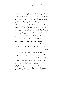الموبقات وهي الشرك بالله والسحر وقتل النفس التي حرم الله إلا بالحق وأكل الربا وأكل مال اليتيم والتولي يوم الزحف وقذف المحصنات الغافلات المؤمنات، ومثل الزنا واللواط والسرقة وشرب الخمر ونحو ذلك من كبائر الذنوب التي ورد فيها حد في الدنيا أو وعيد في الآخرة والتي وعد الله مجتنبها بالمغفرة في قوله: ﴿إِنْ تَجْتَنبُوا كَبَائرَ مَا تُنْهَوْنَ عَنْهُ نُكَفِّرْ عَنْكُمْ سَيِّئَاتِكُمْ وَنُدْخِلْكُمْ مُهْخَلاً كَرِيمًا﴾ [النساء: ٣١] ومن الكبائر: ترك الصلاة، ومنع الزكاة، وإفطار يوم من رمضان بدون عذر، وترك الحج مع القدرة عليه، ومن ذلك عقوق الوالدين، وقطيعة الأرحام، نعوذ بالله من ذلك كله ونسأله العفو والعافية في الدنيا والآخرة.

٦ – استحباب كظم الغيظ والعفو عند الغضب ومقابلة المسيء بالإحسان.

٧- وجوب الاستجابة لله بطاعته وامتثال أوامره واحتناب نو اهيه.

٨– الحث على إقام الصلاة والمحافظة عليها والعناية ها.

٩- الحث على المشاورة في كل الأمور التي لم يتبين الحق فيها وأن ذلك من صفات المؤمنين.

١٠- الأمر بالإنفاق من رزق الله في الواجبات والمستحبات. ١١- وجواز الانتصار من الباغي الظالم بقدر ظلمه وإساءته وتحريم ظلمه والترغيب في العفو عنه بترك معاقبته الله تعالى قال تعالى: ﴿وَجَزَاءُ سَيِّئَة سَيِّئَةٌ مثْلُهَا فَمَنْ عَفَا وَأَصْلَحَ فَأَجْرُهُ عَلَى

 $\circ$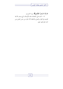الله إنَّهُ لا يُحبُّ الظَّالمينَ﴾ سورة الشورى. ١٢– الحث على الاتصاف بمذه الأوصاف التي وصف الله بما المؤمنين في القول والعمل والاعتقاد لأن الجزاء من جنس العمل ومن تشبه بقوم فهو منهم.

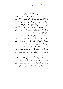من أوصاف المتقين وثوابهم قال الله تعالى: ﴿إِنَّ الْمُتَّقِينَ فِي جَنَّاتٍ وَعُيُونٍ \* آخذينَ مَا آتَاهُمْ رَبُّهُمْ إِنَّهُمْ كَانُوا قَبْلَ ذَلكَ مُحْسَنينَ \* كَانُوا قَلَيلاً منَ اللَّيْلِ مَا يَهْجَعُونَ \* وَبالأَسْحَارِ هُمْ يَسْتَغْفرُونَ \* وَفي أَمْوَالهِمْ حَقٌّ للسَّائلِ وَالْمَحْرُومِ \* وَفِي الأَرْضِ آيَاتٌ للْمُوقنينَ \* وَفِي أَنْفُسكُمْ أَفَلا تُبْصرُونَ \* وَفِي السَّمَاء رِزْقُكُمْ وَمَا تُوعَدُونَ \* فَوَرَبِّ السَّمَاء وَالأَرْضِ إنَّهُ لَحَقٌّ مثْلَ مَا أَنَّكُمْ تَنْطَقُو نَ﴾ [الذاريات: ١٥-٢٣].

يقول الله تعالى مخبرا عن ثواب المتقين لله بطاعته بفعل ما أمر واجتناب ما فمي، وذكر أعمالهم التي وصلوا بسببها إلى ذلك فقال تعالى: ﴿إِنَّ الْمُتَّقِينَ فِي جَنَّاتٍ وَعُيُونٌ﴾ أي حازاهم الله من فضله بسبب تقواهم بدحول جنات النعيم المشتملة على ما تشتهيه الأنفس وتلذ الأعين والمشتملة على العيون الجارية التي يشرب هما عباد الله يفجروها تفجيرا ﴿آخذينَ مَا آتَاهُمْ رَبُّهُمْ﴾ أي في الجنة من النعيم والسرور والغبطة، ويحتمل أن هذا وصف المتقين في الدنيا وأفمم آخذين ما آتاهم الله من الأوامر والنواهي يمتثلوفما ويعملون مَا فرض الله عليهم فيها ﴿إِنَّهُمْ كَانُوا قَبْلَ ذَلِكَ مُحْسِنِينَ﴾ أي كانوا في الدار الدنيا محسنين في عبادة الله مخلصين له فيها محسنين إلى عباد الله بالقول والفعل والمال والجاه والعلم والنصيحة والأمر بالمعروف والنهى عن المنكر وغير ذلك من طرق البر وأنواع الاحسان.

 $0<sup>q</sup>$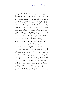ومن أفضل أنواع الإحسان في عبادة الخالق صلاة الليل الدالة على الإخلاص ولهذا قال: ﴿كَانُوا قَلِيلاً مِنَ اللَّيْلِ مَا يَهْجَعُونَ﴾ أي كان قليلا من الليل هجوعهم أي نومهم بالليل قليلا، وأما أكثر الليل فإنهم قانتون لرهم ما بين صلاة وقراءة وذكر الله واستغفار ودعاء وتضرع ۞وَبالأَسْحَارِ هُمْ يَسْتَغْفِرُونَ﴾ أي يطلبونه المغفرة لذنوبهم، والأسحار آخر الليل، وللاستغفار بالأسحار خصوصية وفضيلة ليست لغيره كما قال تعالى في وصف أهل الإيمان والطاعة ﴿وَبِالأَسْحَارِ هُمْ يَسْتَغْفِرُونَ﴾ ﴿وَالْمُسْتَغْفِرِينَ بِالأَسْحَارِ﴾ [آل عمران: ١٧] ﴿وَفِي أَمْوَالِهِمْ حَقٌّ﴾ أي جزء مقسوم من واجب ومستحب ﴿لِلسَّائِلِ وَالْمَحْرُومِ﴾ أي للذي يتعرض للسؤال وله حق كما في الحديث «**للسائل حق وإن جاء على فرس**» رواه أبو داود وصححه السيوطي في الجامع الصغير.

وأما المحروم فهو الفقير المحتاج المتعفف الذي لا يجد ما يغنيه ﴿وَفِي الأَرْضِ آيَاتٌ لِلْمُوقِنينَ﴾ أي فيها من العبر و الآيات الدالة على عظمة خالقها وقدرته الباهرة مما خلق فيها من جبال وأنهار وأشجار ونبات وحيوانات وبحار وغير ذلك ﴿\* وَفِي أَنْفُسِكُمْ أَفَلا تُبْصرُونَ﴾ أي أفلا تتفكرون في أنفسكم وما أودع الله فيها من العبر والحكمة والرحمة واختلاف ألسنتكم وألوانكم ففي خلقكم آيات وعجائب كالسمع والبصر والنطق والعقل ﴿وَفِي السَّمَاء رزْقُكُمْ وَمَا تُوعَدُونَ﴾ أي مادة رزقكم من الأمطار وأنواع الأقدار للرزق الديني والدنيوي، وما توعدون من الجزاء في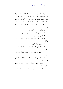الدنيا والآخرة فإنه ينزل من عند الله كسائر الأقدار والجنة التي وعد ها المؤمنون فإلها فوق السموات وسقفها عرش الرحمن ثم أقسم سبحانه بنفسه الكريمة أن ما وعدهم به من أمر القيامة والبعث والجزاء كائن لا محالة، وحق لا شك فيه، فلا تشكوا فيه كما لا تشكون في نطقكم حين تنطقون شبه تحقق ما أحبر به بتحقق نطق الآدمى.

ما يستفاد من الآيات الكريمات: ١– الحث على تقوى الله بفعل أوامره واحتناب نواهيه. ٢– فضل تقوى الله وحسن عاقبتها. ٣– الحث على الإحسان في عبادة الله والإحسان إلى خلقه بما أمكن.

٤ – الترغيب في قيام الليل وفضله. ٥- الحث على الاستغفار وخصوصا وقت الأسحار آخر الليل.

٦- الترغيب في الصدقة على المحتاجين من السائلين والمتعففين المحرومين.

٧– الحث على التفكير في آيات الله ومخلوقاته الدالة على عظيم قدرته.

٨– دعوة الإنسان إلى التفكير في نفسه وما فيها من عجائب الخلق وبديع الصنع. ٩- أن مصدر الرزق والجزاء يترل من السماء بالمطر والقدر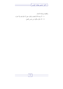$\overline{\Box}$ 

والقضاء وإجابة الدعاء. ١٠- أن وعد الله بالبعث والجزاء حق لا شك فيه ولا امتراء. ١١- أن الجزاء يكون من جنس العمل.

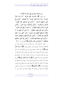من أوصاف المؤمنين التي نالوا بما الكرامة قال تعالى: ﴿إِنَّ الإِنْسَانَ خُلِقَ هَلُوعًا \* إِذَا مَسَّهُ الشَّرُّ جَزُوعًا \* وَإِذَا مَسَّهُ الْخَيْرُ مَنُوعًا \* إِلا الْمُصَلِّينَ \* الَّذِينَ هُمْ عَلَى صَلاتهمْ دَائمُونَ \* وَاللَّذِينَ في أَمْوَالَهِمْ حَقٌّ مَعْلُومٌ \* للسَّائلِ وَالْمَحْرُومِ \* وَالَّذِينَ يُصَدِّقُونَ بِيَوْمِ الْدِّينِ \* وَالَّذِينَ هُمْ منْ عَذَاب رَبِّهِمْ مُشْفقُونَ \* إنَّ عَذَابَ رَبِّهِمْ غَيْرُ مَأْمُون<sup>َ \*</sup> وَالَّذِينَ هُمْ لَفَرُوجِهِمْ حَافَظُونَ \* إلا عَلَى أَزْوَاجِهِمْ أَوْ مَا مَلَكَتْ أَيْمَانُهُمْ فَإِنَّهُمْ غَيْرُ مَلُومِينَ \* فَمَنِ ابْتَغَى وَرَاء ذَلِكَ فأولئكَ هُمُ العَادُون \* وَالذينَ هُمْ لأَمَانَاتهمْ وَعَهْدهمْ رَاعُون \* وَالَّذِينَ هُمْ بِشَهَادَاتِهِمْ قَائِمُونَ \* وَالَّذِينَ هُمْ عَلَى صَلاتِهِمْ يُحَافظُونَ \* أُولَئكَ في جَنَّات مُكْرَمُونَ﴾ [المعارج: ١٩–٣٥].

يقول الله تعالى مخبرا عن الإنسان وما هو مجبول عليه من الأخلاق الدنيئة أنه هلوع، وفسر الهلوع بقوله: ﴿إِذَا مَسَّهُ الشَّرُّ جَزُوعًا﴾ أي إذا أصابته مصيبة فزع وجزع وانخلع قلبه من شدة الرعب وأيس ألا يحصل له بعد ذلك خير، فيجز ع إن أصابه فقر أو مرض أو ذهاب محبوب له من مال أو أهل أو ولد، ولا يستعمل في ذلك الصبر والرضا بما قضى الله ﴿وَإِذَا مَسَّهُ الْخَيْرُ مَنُوعًا﴾ أي إذا حصلت له نعمة من الله بخل هما على غيره، ومنع حق الله فيها فلا ينفق مما آتاه الله، ولا يشكر الله على نعمه وبره، فيجزع في الضراء ويمنع في السراء ﴿إِلاَّ الْمُصَلِّينَ﴾ أي الإنسان من حيث هو متصف بصفات الذم إلا من عصمه الله ووفقه وهداه إلى الخير ويسر له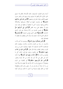أسبابه وهم المصلون الموصوفون بتلك الأوصاف فإنهم إذا مسهم الخير شكروا الله وأنفقوا مما حولهم، وإذا مسهم الشر والضر صبروا عليهم فاثاهم، وقوله تعالى في وصفهم: ﴿الَّذِينَ هُمْ عَلَى صَلاتِهِمْ دَائِمُونَ﴾ أي يداومون عليها في أوقاها بشروطها وبكمالاتما والخشوع فيها، وليسوا كمن لا يفعلها أو يفعلها في وقت دون وقت أو يفعلها على وجه ناقص ﴿وَالَّذِينَ فِي أَمْوَالُهِمْ حَقٌّ مَعْلُومٌ﴾ أي نصيب مقسوم من زكاة وصدقة حق مقرر لذوي الحاجات ﴿لِلسَّائِلِ﴾ الفقير الذي يتعرض للسؤال ﴿وَالْمَحْرُومِ﴾ المسكين الذي لا يجد ما يغنيه ولا يسأل الناس فيعطوه ولا يفطنوا له فيتصدقوا عليه.

﴿وَالَّذِينَ يُصَدِّقُونَ بِيَوْمِ اللَّهِنِ﴾ أي يؤمنون عا أحبر الله به وأحبرت به رسله من البعث والحساب والجزاء، ويتيقنون ذلك فيستعدون للآخرة، فيسعون لها سعيها، ويعملون عمل من يرجو الثواب ويخاف العقاب ولهذا قال تعالى: ﴿وَالَّذِينَ هُمْ مِنْ عَذَابٍ رَبِّهِمْ مُشْفْقُونَ﴾ أي خائفون وحلون فيتركون لذلك كل ما يقربُهم من عذاب الله ﴿إِلنَّا عَذَابَ رَبِّهِمْ غَيْرُ مَأْمُونٌ﴾ أي لا يأمنه أحد ممن عقل عن الله أمره إلا بأمان من الله تبارك وتعالى: ﴿وَالَّذِينَ هُمْ لِفُرُوجِهِمْ حَافِظُونَ﴾ أي يكفوها عن الحرام ويمنعونها أن توضع في غير ما أذن الله فيه فلا يطئون بما وطأ محرما من زنا أو لواط أو وطء في دبر أو حيض ونحو ذلك ويحفظوها أيضا من النظر إليها ومسها ممن لا يجوز له ذلك، ويتركون أيضا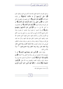وسائل المحرمات الداعية لفعل الفاحشة كالسماع المحرم والنظر المحرم ﴿إِإِلاَّ عَلَى أَزْوَاجِهِمْ أَوْ مَا مَلَكَتْ أَيْمَانُهُمْ﴾ من الإماء المملوكات ﴿فَإِلَيْهُمْ غَيْرُ مَلُومِينَ﴾ لا لوم عليهم في وطئهن في المحل المأذون فيه ﴿فَمَنِ ابْتَغَى وَرَاءَ ذَلكَ فَأُولَئِكَ هُمُ الْعَادُونَ﴾ أي غير الزوجة وملك اليمين ﴿فَأُولَٰئِكَ هُمُ الْعَادُونَ﴾ أي المتحاوزون ما أحل الله إلى ما حرم ﴿وَالَّذِينَ هُمْ لِأَمَانَاتِهِمْ وَعَهْدهِمْ رَاعُونَ﴾ أي إذا ائتمنوا لم يخونوا وإذا عاهدوا لم يغدروا وهذا شامل لجميع الأمانات التي بين العبد وبين ربه والتي بينه وبين الخلق في الأموال والأسرار وكذلك العهد شامل للعهد الذي عاهدوا الله عليه، والعهد الذي عاهدوا الخلق عليه فإن العهد يسأل عنه العبد هل قام به ووفاه أم رفضه وخانه ولم يقم به وهذه صفات المنافقين التي هي ضد صفات المؤمنين «إ**ذا حدث كذب، وإذا ائتمن خان**، وإذا عاهد غدر، وإذا وعد أخلف وإذا خاصم فجر» <sup>(1)</sup> عياذًا بالله من ذلك.

وقوله تعالى: ﴿وَالَّذِينَ هُمْ بِشَهَادَاتِهِمْ قَائِمُونَ﴾ أي لا يشهدون إلا بما يعلمون من غير زيادة ولا نقص ولا كتمان ﴿وَهَنْ يَكْتُمْهَا فَإِنَّهُ آثمٌ قَلْبُهُ﴾ [البقرة: ٢٨٣] ولا يحابون ها قريبا ولا صديقا ونحوه ويكون القصد بإقامتها وجه الله تعالى: ﴿وَأَقِيمُوا الشَّهَادَةَ للَّهُ ﴾ [الطلاق: ٢] ﴿يَا أَيُّهَا الَّذينَ آمَنُوا كُونُوا قَوَّامينَ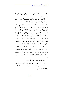بِالْقِسْطِ شُهَدَاءَ لله وَلَوْ عَلَى أَنْفُسكُمْ أَوِ الْوَالدَيْنِ وَالأَقْرَبِينَ﴾ [النساء: ١٣٥].

﴿وَالَّذِينَ هُمْ عَلَى صَلاتِهِمْ يُحَافِظُونَ﴾ بالمداومة عليها على أكمل الوجوه على مواقيتها وأركافا وواجباقما ومستحباقما فافتتح الكلام بذكر الصلاة، واختتمه بذكرها، فدل على الاعتناء ها والتنويه بشرفها كما تقدم في أول السور ﴿قَلْ أَفْلَحَ الْمُؤْمِنُونَ﴾ سواء ولهذا قال هناك: ﴿أُولَئِكَ هُمُ الْوَارِثُونَ \* الَّذينَ يَرِثُونَ الْفرْدَوْسَ هُمْ فِيهَا خَاللُونَ﴾ وقال هنا: ﴿أُولَئِكَ في جَنَّات مُكْرَمُونَ﴾ أي الموصوفون بتلك الصفات قد أوصل الله لهم من الكرامة والنعيم المقيم وأنواع الملاذ والمسار ما تشتهيه الأنفس وتلذ الأعين، وحاصل هذا أن الله وصف أهل السعادة والخير بهذه الأوصاف الكاملة والأخلاق الفاضلة من العبادات البدنية كالصلاة والمداومة عليها، والأعمال القلبية كخشية الله الداعية لكل حير، والعبادات المالية والعقائد النافعة والأحلاق الفاضلة ومعاملة الله ومعاملة خلقه أحسن معاملة من إنصافهم وحفظ حقوقهم وأماناقم والعفة التامة بحفظ الفروج عما يكرهه الله تعالى.

ما يستفاد من هذه الآيات الكريمات:

١– ذم الإنسان من حيث كان متصفا بالهلع والجبن والجزع عند المصائب ومنع الحقوق عند النعم إلا من عصمه الله بالإيمان والتوفيق للعمل الصالح.

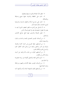٢ – عظم شأن الصلاة والتنويه بشرفها وفضلها. ٣- الحث على المحافظة والمداومة عليها بجميع واجبالها ومكملاقما.

٤– الحث على إحراج الزكاة والحقوق الواجبة والمستحبة لذوى الحاجات شكرًا لنعمة المال.

٥- أن للسائل حق وأحق منه الفقير المتعفف الذي لا يجد ما يغنيه ولا يفطن له فيتصدق عليه ولا يقوم فيسأل الناس.

٦- فضل الصدقة والترغيب فيها لدفع حوائج المحتاجين والسائلين.

٧– من أوصاف المؤمنين التصديق بالبعث والحساب والجزاء والاستعداد لذلك.

٨– من أوصافهم حفظ الفروج عن الحرام كالزنا واللواط والوطء في الدبر والحيض والبعد عن وسائل ذلك كالنظر المحرم والسماع المحرم والكلام المحرم.

٩- من أوصافهم الخوف من عذاب الله والبعد عن أسبابه وعدم الأمن من العقاب.

١٠- تحريم نكاح المتعة والتحليل لكولها غير زوجة مقصودة ولا ملك يمين.

١١- من أوصاف المؤمنين حفظ الأمانات والعهود ومراعاها وعدم الخيانة فيها.

١٢– من أوصافهم القيام بالشهادة تحملا وأداء وتأديتها كما

77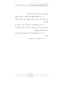علموها من غير زيادة ولا نقص ولا كتمان. ١٣- من أوصافهم المحافظة على الصلوات الخمس في أوقالها مع الجماعة في المسجد وكذلك يحافظون على النوافل المكملة للفرائض.

١٤- وحوب الطمأنينة في الصلاة لأن الذي لا يطمئن في ركوعه وسجوده ليس بدائم على صلاته لأنه لم يسكن فيها ولم يدم بل نقرها فلم يفلح فيها.

١٥– حسن عاقبة المؤمنين وكمال جزائهم وإكرامهم بجنات النعيم. ١٦- أن الجزاء من جنس العمل.

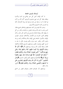أوصاف المؤمنين الجامعة

لما كان الإيمان أصل كل حير وفلاح في الدنيا والآخرة ويفقده يفقد كل خير ديني ودنيوي وأخروي، أكثر الله من ذكره في القرآن آمرا به ولهيا عن ضده وترغيبا فيه وبيانا لأوصاف أهله وما لهم من الجزاء الدنيوي والأحروي.

وصف الله المؤمنين في كتابه بتصديقهم وإذعالهم لجميع عقائد الدين وبحب ما يحبه الله ويرضاه بالعمل به والتباعد والحذر من كل ما يبغضه الله، وبإدامة الإنابة والرجوع إلى الله في كل حال، وكان لإيمالهم أطيب الثمرات في الأعمال والأخلاق، فوصف المؤمنين بالإيمان بالأصول الجامعة وهى الإيمان بالله وملائكته وكتبه ورسله واليوم الآخر والقدر حيره وشره وأفمم يؤمنون بكل ما جاء به الرسل كلهم ويؤمنون بالغيب ووصفهم بالسمع والطاعة والانقياد ظاهرا وباطنا لأوامر الله ورسوله، ووصفهم بألهم ﴿إِذَا ذُكِرَ اللَّهُ وَجلَتْ قُلُوبُهُمْ وَإِذَا تُليَتْ عَلَيْهِمْ آيَاتُهُ زَادَتْهُمْ إِيمَانًا وَعَلَى رَبِّهِمْ يَتَوَكَّلُونَ \* الَّذينَ يُقيمُونَ الصَّلاةَ وَممَّا رَزَقْنَاهُمْ يُنْفقُونَ \* أُولَئكَ هُمُ الْمُؤْمِنُونَ حَقًّا لَهُمْ دَرَجَاتٌ عنْدَ رَبِّهِمْ وَمَغْفرَةٌ وَرِزْقٌ كَرِيمٌ﴾ [الأنفال] ووصفهم بأنعم وأطيب البشرى ﴿وَبَشِّر الْمُخْبِتينَ \* الَّذينَ إذَا ذُكرَ اللَّهُ وَجلَتْ قُلُوبُهُمْ وَالصَّابرينَ عَلَى مَا أَصَابَهُمْ وَالْمُقيمي الصَّلاة وَممَّا رَزَقْنَاهُمْ يُنْفقُونَ﴾ [الحج:  $.\lbrack \mathsf{r}\circ\mathsf{r}\circ\mathsf{r}\varepsilon$ 

ووصفهم بأن جلودهم تقشعر وعيوفمم تفيض من الدمع

٦٩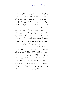وقلوبهم تلين وتطمئن لآيات الله وذكره وبأفمم يخشون ربمم بالغيب والشهادة وأفمم يؤتون ما آتوا وقلوهم وحلة أفمم إلى رهم راجعون، ووصفهم بالخشوع في أحوالهم عموما وفي الصلاة خصوصا وأفهم عن اللغو معرضون، وللزكاة فاعلون ولفروجهم حافظون، إلا على أزواجهم أو ما ملكت أيمالهم، وألهم بشهاداقم قائمون ولأماناقم وعهدهم راعون.

ووصفهم بأفمم يمشون على الأرض هونا، وإذا حاطبهم الجاهلون قالوا سلاما، وأفمم يبيتون لرهم سجدا وقياما، وأفمم يقولون بدعائهم وأعمالهم وأحلاقهم ﴿وَالْكَذِينَ يَقُولُونَ دَبَّنَا اصْرِفْ عَنَّا عَذَابَ جَهَنَّمَ﴾ [الفرقان: ٦٥] وألهم مقتصدون وسط في كل شئولهم وإذا أنفقوا لم يسرفوا ولم يقتروا وكان بين ذلك قوامًا، وألهم لا يدعون مع الله إلها آخر ولا يقتلون النفس التي حرم الله إلا بالحق ولا يزنون، وأفمم لا يشهدون الزور وإذا مروا باللغو مروا كراما، وألهم إذا ذكروا بآيات رهم لم يخروا عليها صما وعميانا، بل الرخَرُّوا سُجَّدًا وَبُكيًّا﴾ الرويَخرُّونَ للأَذْقَان يَبْكُونَ﴾ وتزيدهم رؤية آيات الله وسماعها حشوعا وإحباتا، وألهم يطلبون السمو والعلو دائما فلا يرضون إلا أن يكونوا أئمة الهدى والإيمان والتقوى ومكارم الأخلاق وأفهم يقدرون الواجب عليهم ومسئوليتهم أمام الله عما استرعاهم من الأولاد والزوجات وغيرهم فيحسنون القيام عليهم في تأديبهم وتربيتهم ليكونوا قرة عين لهم، ووصفهم باليقين الكامل الذي لا ريب فيه، وبالجهاد بأموالهم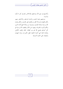وأنفسهم في سبيل الله، ووصفهم بالإخلاص لرهم في كل ما يأتون ويذرون.

ووصفهم بمحبة المؤمنين والدعاء للسابقين واللاحقين منهم، وألهم مجتهدون في إزالة الغل من قلوبهم على المؤمنين، وبألهم يتولون الله ورسوله وعباده المؤمنين، ويتبرءون من موالاة جميع أعداء الدين، وبألهم يأمرون بالمعروف وينهون عن المنكر ويطيعون الله ورسوله في كل أحوالهم فجمع الله لهم بين العقائد الحقة واليقين الكامل، والإنابة التامة التي آثارها الانقياد لفعل المأمورات وترك المنهيات والوقوف على الحدود الشرعية.

V١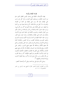## فوائد الإيمان وثمراته

فهذه الأوصاف الجليلة هي وصف المؤمن المطلق الذي سلم من أسباب العقاب، ويستحق جميل الثواب، ونال كل حير ترتب على الإيمان، فإن الله رتب على الإيمان في كتابه من الفوائد والثمرات ما لا يقل عن مائة فائدة، كل واحدة منها خير من الدنيا وما فيها، رتب على الإيمان نيل رضاه الذي هو أكبر من كل شيء، ورتب عليه دحول الجنة والنجاة من النار والسلامة من عذاب القبر ومن أهوال القيامة، والبشرى الكاملة في الحياة الدنيا وفي الآخرة، والثبات في الدنيا على الإيمان والطاعات، وعند الموت وفي القبر، ورتب عليه الحياة الطيبة في الدنيا والرزق الكريم وتيسيره لليسرى وتجنيبه للعسرى وطمأنينة القلوب وراحة النفوس والقناعة التامة وصلاح الأحوال وصلاح الذرية والصبر عند المحن والمصائب وحمل الله عنهم الأثقال ومدافعة الله عنهم جميع الشرور، والنصر على الأعداء ورفع المؤاخذة عند النسيان والخطأ وأن الله قد وضع عنهم الآصال والأغلال التي تكبل ها المقلدون الغافلون الأشقياء المعذبون في الدنيا والآخرة بكفرهم وشركهم، فالإيمان أكبر وسيلة للقرب من الله والقرب من رحمته ونيل ثوابه وأكبر وسيلة لمغفرة الذنوب وإزالة الشدائد وتخفيفها <sup>(1</sup>).

وصلى الله وسلم على نبينا محمد وعلى آله وأصحابه أجمعين.

(1) من القواعد الحسان لتفسير القرآن للشيخ عبد الرحمن بن ناصر السعدى (١٠٢-١٠٦).

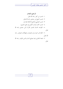تعالى.

المراجع والمصادر ۱– تفسیر ابن کثیر رحمه الله تعالی. ٢– تفسير الشيخ ابن سعدي رحمه الله تعالى. ٣– تفسير القرطبي (الجامع لأحكام القرآن). ٤– تفسير الخازن (لباب التأويل في معاني التنزيل). ٥– القواعد الحسان لتفسير القرآن لابن سعدي رحمه الله تعالى. ٦- الكواكب النيرات في المنجيات والمهلكات للمؤلف رحمه الله تعالى. ٧- بمجة الناظرين فيما يصلح الدنيا والدين المؤلف رحمه الله

٧٣